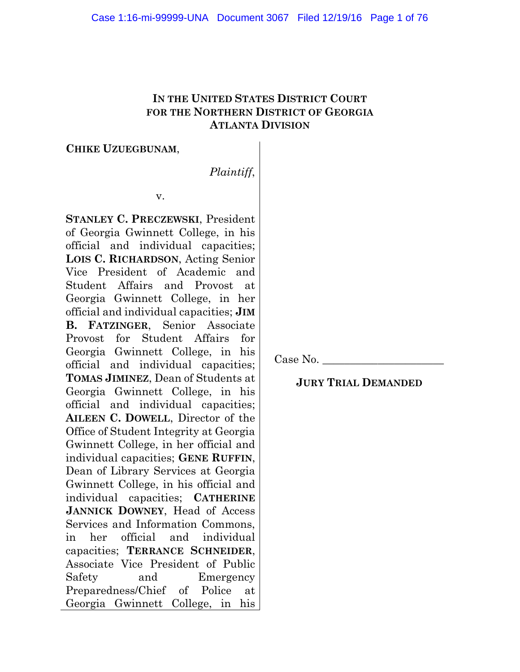# **IN THE UNITED STATES DISTRICT COURT FOR THE NORTHERN DISTRICT OF GEORGIA ATLANTA DIVISION**

### **CHIKE UZUEGBUNAM**,

*Plaintiff*,

v.

**STANLEY C. PRECZEWSKI**, President of Georgia Gwinnett College, in his official and individual capacities; **LOIS C. RICHARDSON**, Acting Senior Vice President of Academic and Student Affairs and Provost at Georgia Gwinnett College, in her official and individual capacities; **JIM B. FATZINGER**, Senior Associate Provost for Student Affairs for Georgia Gwinnett College, in his official and individual capacities; **TOMAS JIMINEZ**, Dean of Students at Georgia Gwinnett College, in his official and individual capacities; **AILEEN C. DOWELL**, Director of the Office of Student Integrity at Georgia Gwinnett College, in her official and individual capacities; **GENE RUFFIN**, Dean of Library Services at Georgia Gwinnett College, in his official and individual capacities; **CATHERINE JANNICK DOWNEY**, Head of Access Services and Information Commons, in her official and individual capacities; **TERRANCE SCHNEIDER**, Associate Vice President of Public Safety and Emergency Preparedness/Chief of Police at Georgia Gwinnett College, in his

Case No.

**JURY TRIAL DEMANDED**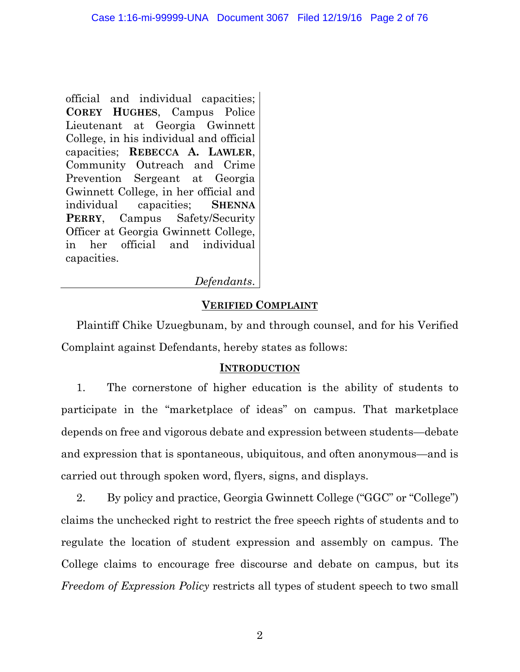official and individual capacities; **COREY HUGHES**, Campus Police Lieutenant at Georgia Gwinnett College, in his individual and official capacities; **REBECCA A. LAWLER**, Community Outreach and Crime Prevention Sergeant at Georgia Gwinnett College, in her official and individual capacities; **SHENNA PERRY**, Campus Safety/Security Officer at Georgia Gwinnett College, in her official and individual capacities.

*Defendants*.

# **VERIFIED COMPLAINT**

Plaintiff Chike Uzuegbunam, by and through counsel, and for his Verified Complaint against Defendants, hereby states as follows:

### **INTRODUCTION**

1. The cornerstone of higher education is the ability of students to participate in the "marketplace of ideas" on campus. That marketplace depends on free and vigorous debate and expression between students—debate and expression that is spontaneous, ubiquitous, and often anonymous—and is carried out through spoken word, flyers, signs, and displays.

2. By policy and practice, Georgia Gwinnett College ("GGC" or "College") claims the unchecked right to restrict the free speech rights of students and to regulate the location of student expression and assembly on campus. The College claims to encourage free discourse and debate on campus, but its *Freedom of Expression Policy* restricts all types of student speech to two small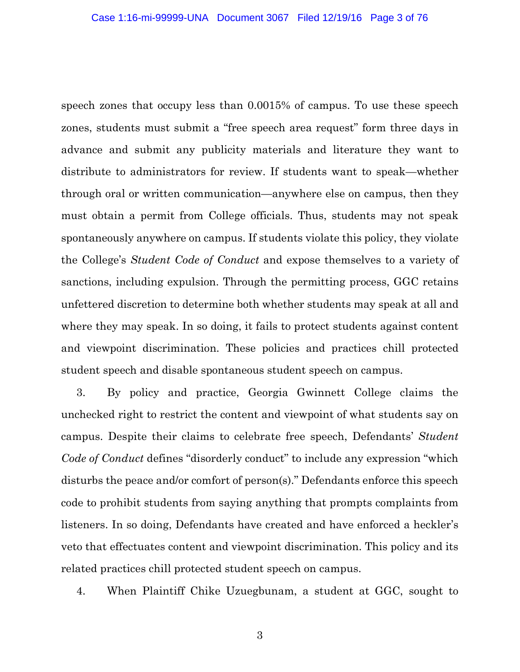speech zones that occupy less than 0.0015% of campus. To use these speech zones, students must submit a "free speech area request" form three days in advance and submit any publicity materials and literature they want to distribute to administrators for review. If students want to speak—whether through oral or written communication—anywhere else on campus, then they must obtain a permit from College officials. Thus, students may not speak spontaneously anywhere on campus. If students violate this policy, they violate the College's *Student Code of Conduct* and expose themselves to a variety of sanctions, including expulsion. Through the permitting process, GGC retains unfettered discretion to determine both whether students may speak at all and where they may speak. In so doing, it fails to protect students against content and viewpoint discrimination. These policies and practices chill protected student speech and disable spontaneous student speech on campus.

3. By policy and practice, Georgia Gwinnett College claims the unchecked right to restrict the content and viewpoint of what students say on campus. Despite their claims to celebrate free speech, Defendants' *Student Code of Conduct* defines "disorderly conduct" to include any expression "which disturbs the peace and/or comfort of person(s)." Defendants enforce this speech code to prohibit students from saying anything that prompts complaints from listeners. In so doing, Defendants have created and have enforced a heckler's veto that effectuates content and viewpoint discrimination. This policy and its related practices chill protected student speech on campus.

4. When Plaintiff Chike Uzuegbunam, a student at GGC, sought to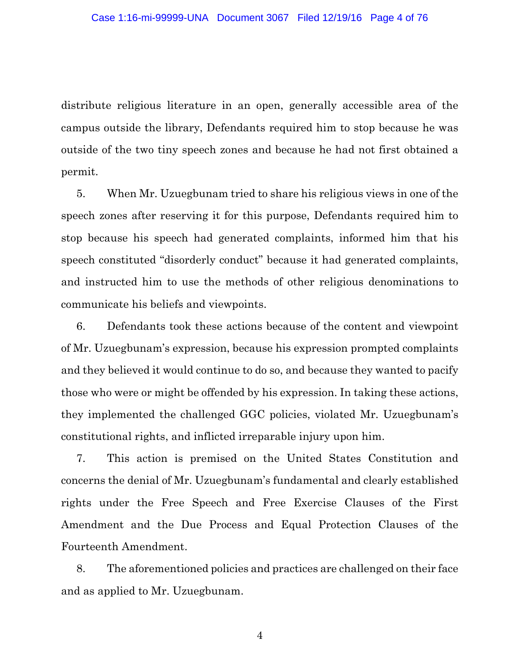distribute religious literature in an open, generally accessible area of the campus outside the library, Defendants required him to stop because he was outside of the two tiny speech zones and because he had not first obtained a permit.

5. When Mr. Uzuegbunam tried to share his religious views in one of the speech zones after reserving it for this purpose, Defendants required him to stop because his speech had generated complaints, informed him that his speech constituted "disorderly conduct" because it had generated complaints, and instructed him to use the methods of other religious denominations to communicate his beliefs and viewpoints.

6. Defendants took these actions because of the content and viewpoint of Mr. Uzuegbunam's expression, because his expression prompted complaints and they believed it would continue to do so, and because they wanted to pacify those who were or might be offended by his expression. In taking these actions, they implemented the challenged GGC policies, violated Mr. Uzuegbunam's constitutional rights, and inflicted irreparable injury upon him.

7. This action is premised on the United States Constitution and concerns the denial of Mr. Uzuegbunam's fundamental and clearly established rights under the Free Speech and Free Exercise Clauses of the First Amendment and the Due Process and Equal Protection Clauses of the Fourteenth Amendment.

8. The aforementioned policies and practices are challenged on their face and as applied to Mr. Uzuegbunam.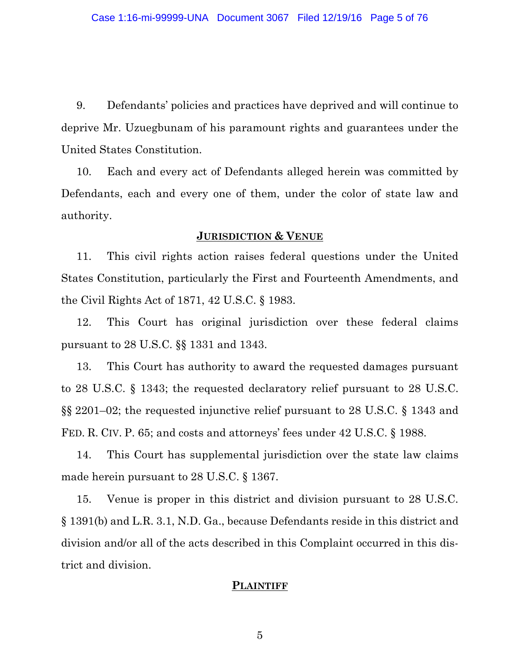9. Defendants' policies and practices have deprived and will continue to deprive Mr. Uzuegbunam of his paramount rights and guarantees under the United States Constitution.

10. Each and every act of Defendants alleged herein was committed by Defendants, each and every one of them, under the color of state law and authority.

#### **JURISDICTION & VENUE**

11. This civil rights action raises federal questions under the United States Constitution, particularly the First and Fourteenth Amendments, and the Civil Rights Act of 1871, 42 U.S.C. § 1983.

12. This Court has original jurisdiction over these federal claims pursuant to 28 U.S.C. §§ 1331 and 1343.

13. This Court has authority to award the requested damages pursuant to 28 U.S.C. § 1343; the requested declaratory relief pursuant to 28 U.S.C. §§ 2201–02; the requested injunctive relief pursuant to 28 U.S.C. § 1343 and FED. R. CIV. P. 65; and costs and attorneys' fees under 42 U.S.C. § 1988.

14. This Court has supplemental jurisdiction over the state law claims made herein pursuant to 28 U.S.C. § 1367.

15. Venue is proper in this district and division pursuant to 28 U.S.C. § 1391(b) and L.R. 3.1, N.D. Ga., because Defendants reside in this district and division and/or all of the acts described in this Complaint occurred in this district and division.

#### **PLAINTIFF**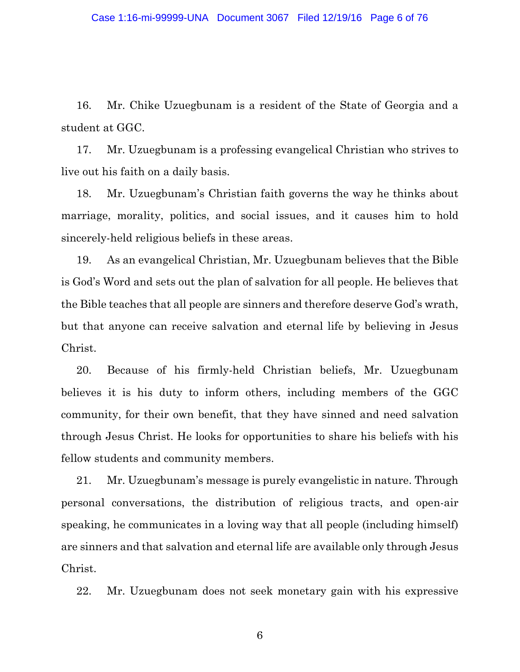16. Mr. Chike Uzuegbunam is a resident of the State of Georgia and a student at GGC.

17. Mr. Uzuegbunam is a professing evangelical Christian who strives to live out his faith on a daily basis.

18. Mr. Uzuegbunam's Christian faith governs the way he thinks about marriage, morality, politics, and social issues, and it causes him to hold sincerely-held religious beliefs in these areas.

19. As an evangelical Christian, Mr. Uzuegbunam believes that the Bible is God's Word and sets out the plan of salvation for all people. He believes that the Bible teaches that all people are sinners and therefore deserve God's wrath, but that anyone can receive salvation and eternal life by believing in Jesus Christ.

20. Because of his firmly-held Christian beliefs, Mr. Uzuegbunam believes it is his duty to inform others, including members of the GGC community, for their own benefit, that they have sinned and need salvation through Jesus Christ. He looks for opportunities to share his beliefs with his fellow students and community members.

21. Mr. Uzuegbunam's message is purely evangelistic in nature. Through personal conversations, the distribution of religious tracts, and open-air speaking, he communicates in a loving way that all people (including himself) are sinners and that salvation and eternal life are available only through Jesus Christ.

22. Mr. Uzuegbunam does not seek monetary gain with his expressive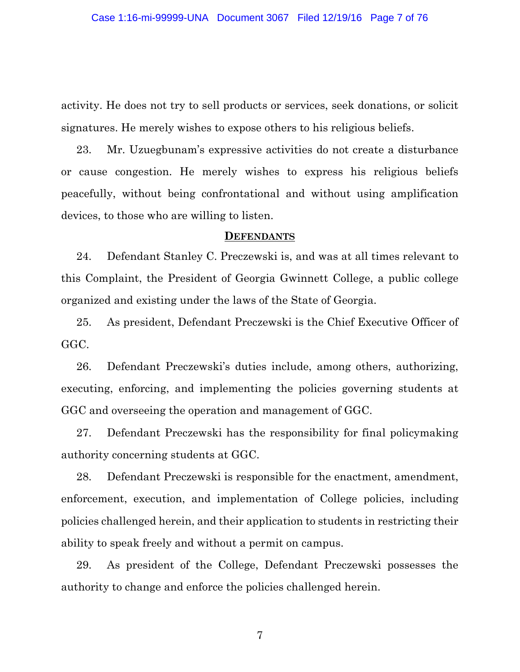activity. He does not try to sell products or services, seek donations, or solicit signatures. He merely wishes to expose others to his religious beliefs.

23. Mr. Uzuegbunam's expressive activities do not create a disturbance or cause congestion. He merely wishes to express his religious beliefs peacefully, without being confrontational and without using amplification devices, to those who are willing to listen.

#### **DEFENDANTS**

24. Defendant Stanley C. Preczewski is, and was at all times relevant to this Complaint, the President of Georgia Gwinnett College, a public college organized and existing under the laws of the State of Georgia.

25. As president, Defendant Preczewski is the Chief Executive Officer of GGC.

26. Defendant Preczewski's duties include, among others, authorizing, executing, enforcing, and implementing the policies governing students at GGC and overseeing the operation and management of GGC.

27. Defendant Preczewski has the responsibility for final policymaking authority concerning students at GGC.

28. Defendant Preczewski is responsible for the enactment, amendment, enforcement, execution, and implementation of College policies, including policies challenged herein, and their application to students in restricting their ability to speak freely and without a permit on campus.

29. As president of the College, Defendant Preczewski possesses the authority to change and enforce the policies challenged herein.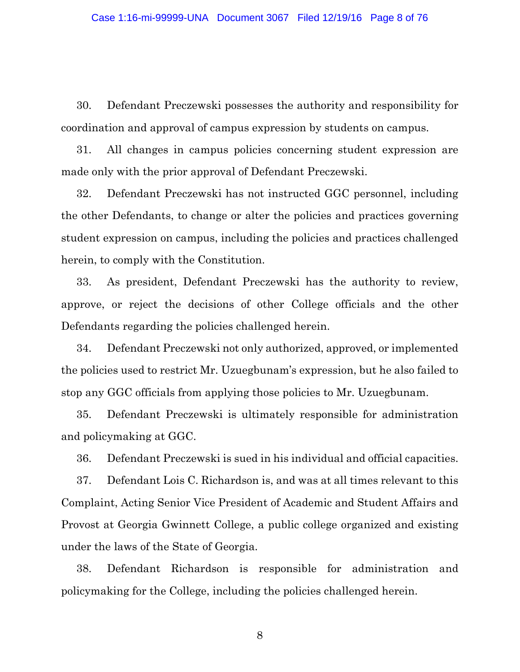30. Defendant Preczewski possesses the authority and responsibility for coordination and approval of campus expression by students on campus.

31. All changes in campus policies concerning student expression are made only with the prior approval of Defendant Preczewski.

32. Defendant Preczewski has not instructed GGC personnel, including the other Defendants, to change or alter the policies and practices governing student expression on campus, including the policies and practices challenged herein, to comply with the Constitution.

33. As president, Defendant Preczewski has the authority to review, approve, or reject the decisions of other College officials and the other Defendants regarding the policies challenged herein.

34. Defendant Preczewski not only authorized, approved, or implemented the policies used to restrict Mr. Uzuegbunam's expression, but he also failed to stop any GGC officials from applying those policies to Mr. Uzuegbunam.

35. Defendant Preczewski is ultimately responsible for administration and policymaking at GGC.

36. Defendant Preczewski is sued in his individual and official capacities.

37. Defendant Lois C. Richardson is, and was at all times relevant to this Complaint, Acting Senior Vice President of Academic and Student Affairs and Provost at Georgia Gwinnett College, a public college organized and existing under the laws of the State of Georgia.

38. Defendant Richardson is responsible for administration and policymaking for the College, including the policies challenged herein.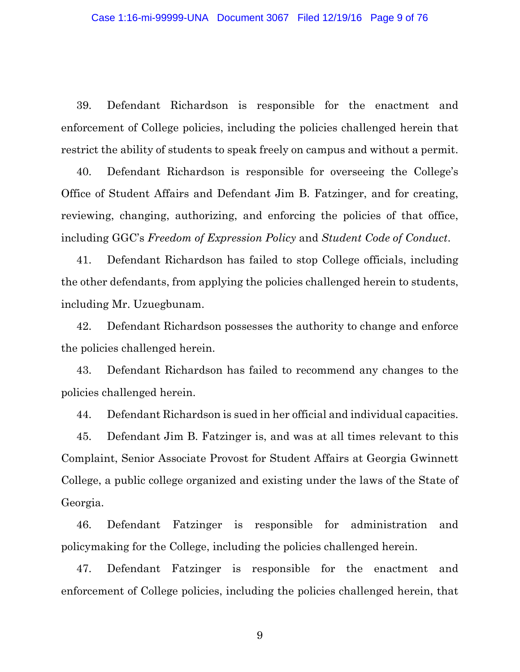39. Defendant Richardson is responsible for the enactment and enforcement of College policies, including the policies challenged herein that restrict the ability of students to speak freely on campus and without a permit.

40. Defendant Richardson is responsible for overseeing the College's Office of Student Affairs and Defendant Jim B. Fatzinger, and for creating, reviewing, changing, authorizing, and enforcing the policies of that office, including GGC's *Freedom of Expression Policy* and *Student Code of Conduct*.

41. Defendant Richardson has failed to stop College officials, including the other defendants, from applying the policies challenged herein to students, including Mr. Uzuegbunam.

42. Defendant Richardson possesses the authority to change and enforce the policies challenged herein.

43. Defendant Richardson has failed to recommend any changes to the policies challenged herein.

44. Defendant Richardson is sued in her official and individual capacities.

45. Defendant Jim B. Fatzinger is, and was at all times relevant to this Complaint, Senior Associate Provost for Student Affairs at Georgia Gwinnett College, a public college organized and existing under the laws of the State of Georgia.

46. Defendant Fatzinger is responsible for administration and policymaking for the College, including the policies challenged herein.

47. Defendant Fatzinger is responsible for the enactment and enforcement of College policies, including the policies challenged herein, that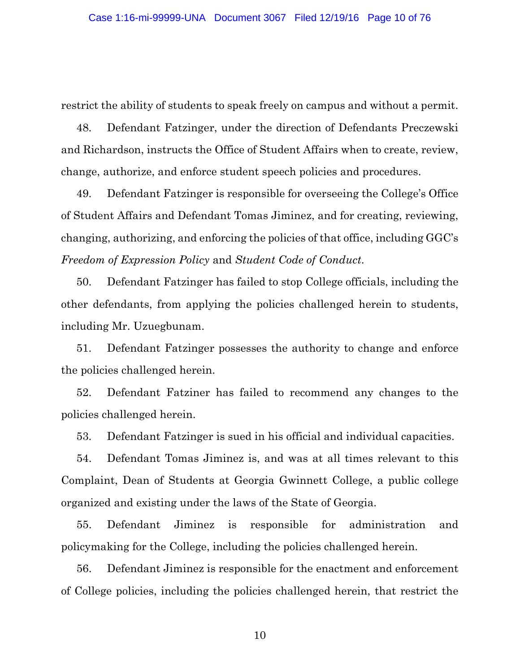restrict the ability of students to speak freely on campus and without a permit.

48. Defendant Fatzinger, under the direction of Defendants Preczewski and Richardson, instructs the Office of Student Affairs when to create, review, change, authorize, and enforce student speech policies and procedures.

49. Defendant Fatzinger is responsible for overseeing the College's Office of Student Affairs and Defendant Tomas Jiminez, and for creating, reviewing, changing, authorizing, and enforcing the policies of that office, including GGC's *Freedom of Expression Policy* and *Student Code of Conduct*.

50. Defendant Fatzinger has failed to stop College officials, including the other defendants, from applying the policies challenged herein to students, including Mr. Uzuegbunam.

51. Defendant Fatzinger possesses the authority to change and enforce the policies challenged herein.

52. Defendant Fatziner has failed to recommend any changes to the policies challenged herein.

53. Defendant Fatzinger is sued in his official and individual capacities.

54. Defendant Tomas Jiminez is, and was at all times relevant to this Complaint, Dean of Students at Georgia Gwinnett College, a public college organized and existing under the laws of the State of Georgia.

55. Defendant Jiminez is responsible for administration and policymaking for the College, including the policies challenged herein.

56. Defendant Jiminez is responsible for the enactment and enforcement of College policies, including the policies challenged herein, that restrict the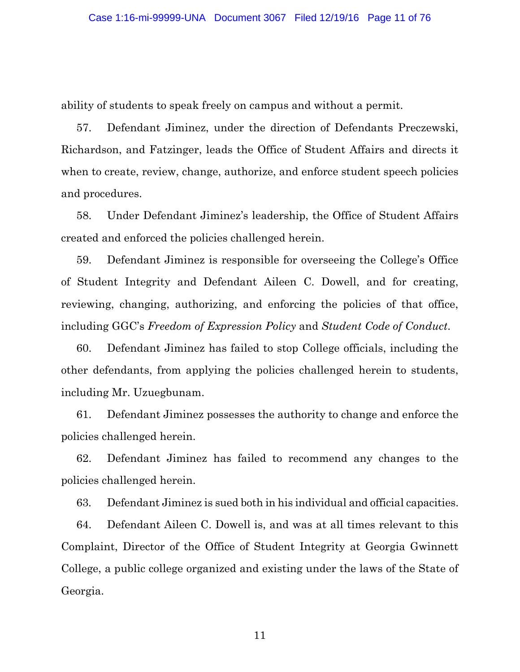ability of students to speak freely on campus and without a permit.

57. Defendant Jiminez, under the direction of Defendants Preczewski, Richardson, and Fatzinger, leads the Office of Student Affairs and directs it when to create, review, change, authorize, and enforce student speech policies and procedures.

58. Under Defendant Jiminez's leadership, the Office of Student Affairs created and enforced the policies challenged herein.

59. Defendant Jiminez is responsible for overseeing the College's Office of Student Integrity and Defendant Aileen C. Dowell, and for creating, reviewing, changing, authorizing, and enforcing the policies of that office, including GGC's *Freedom of Expression Policy* and *Student Code of Conduct*.

60. Defendant Jiminez has failed to stop College officials, including the other defendants, from applying the policies challenged herein to students, including Mr. Uzuegbunam.

61. Defendant Jiminez possesses the authority to change and enforce the policies challenged herein.

62. Defendant Jiminez has failed to recommend any changes to the policies challenged herein.

63. Defendant Jiminez is sued both in his individual and official capacities.

64. Defendant Aileen C. Dowell is, and was at all times relevant to this Complaint, Director of the Office of Student Integrity at Georgia Gwinnett College, a public college organized and existing under the laws of the State of Georgia.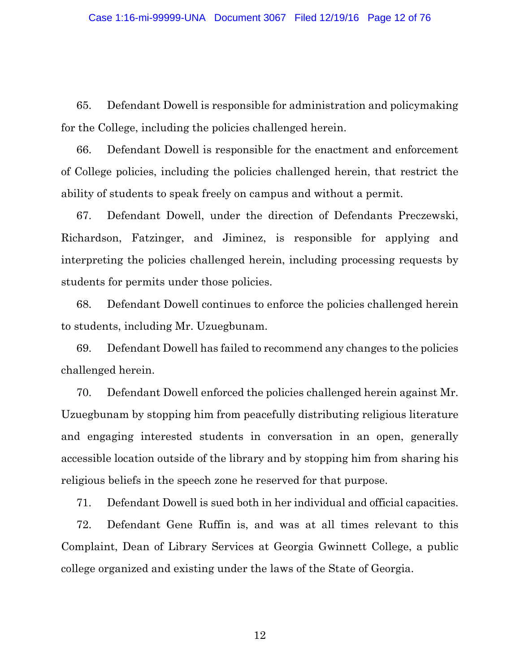65. Defendant Dowell is responsible for administration and policymaking for the College, including the policies challenged herein.

66. Defendant Dowell is responsible for the enactment and enforcement of College policies, including the policies challenged herein, that restrict the ability of students to speak freely on campus and without a permit.

67. Defendant Dowell, under the direction of Defendants Preczewski, Richardson, Fatzinger, and Jiminez, is responsible for applying and interpreting the policies challenged herein, including processing requests by students for permits under those policies.

68. Defendant Dowell continues to enforce the policies challenged herein to students, including Mr. Uzuegbunam.

69. Defendant Dowell has failed to recommend any changes to the policies challenged herein.

70. Defendant Dowell enforced the policies challenged herein against Mr. Uzuegbunam by stopping him from peacefully distributing religious literature and engaging interested students in conversation in an open, generally accessible location outside of the library and by stopping him from sharing his religious beliefs in the speech zone he reserved for that purpose.

71. Defendant Dowell is sued both in her individual and official capacities. 72. Defendant Gene Ruffin is, and was at all times relevant to this Complaint, Dean of Library Services at Georgia Gwinnett College, a public college organized and existing under the laws of the State of Georgia.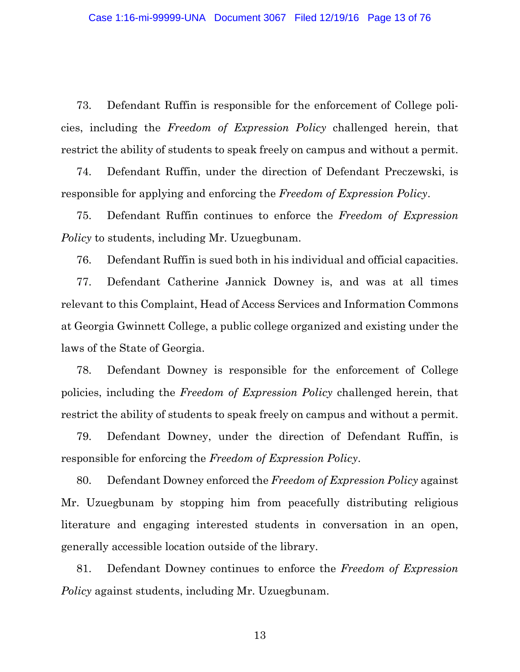73. Defendant Ruffin is responsible for the enforcement of College policies, including the *Freedom of Expression Policy* challenged herein, that restrict the ability of students to speak freely on campus and without a permit.

74. Defendant Ruffin, under the direction of Defendant Preczewski, is responsible for applying and enforcing the *Freedom of Expression Policy*.

75. Defendant Ruffin continues to enforce the *Freedom of Expression Policy* to students, including Mr. Uzuegbunam.

76. Defendant Ruffin is sued both in his individual and official capacities.

77. Defendant Catherine Jannick Downey is, and was at all times relevant to this Complaint, Head of Access Services and Information Commons at Georgia Gwinnett College, a public college organized and existing under the laws of the State of Georgia.

78. Defendant Downey is responsible for the enforcement of College policies, including the *Freedom of Expression Policy* challenged herein, that restrict the ability of students to speak freely on campus and without a permit.

79. Defendant Downey, under the direction of Defendant Ruffin, is responsible for enforcing the *Freedom of Expression Policy*.

80. Defendant Downey enforced the *Freedom of Expression Policy* against Mr. Uzuegbunam by stopping him from peacefully distributing religious literature and engaging interested students in conversation in an open, generally accessible location outside of the library.

81. Defendant Downey continues to enforce the *Freedom of Expression Policy* against students, including Mr. Uzuegbunam.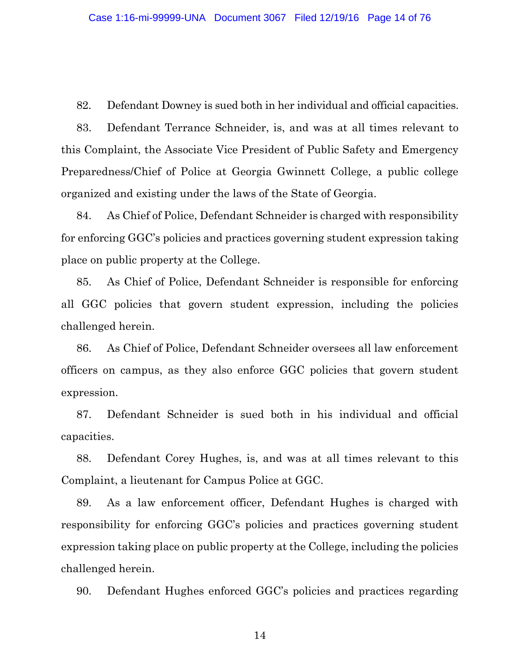82. Defendant Downey is sued both in her individual and official capacities.

83. Defendant Terrance Schneider, is, and was at all times relevant to this Complaint, the Associate Vice President of Public Safety and Emergency Preparedness/Chief of Police at Georgia Gwinnett College, a public college organized and existing under the laws of the State of Georgia.

84. As Chief of Police, Defendant Schneider is charged with responsibility for enforcing GGC's policies and practices governing student expression taking place on public property at the College.

85. As Chief of Police, Defendant Schneider is responsible for enforcing all GGC policies that govern student expression, including the policies challenged herein.

86. As Chief of Police, Defendant Schneider oversees all law enforcement officers on campus, as they also enforce GGC policies that govern student expression.

87. Defendant Schneider is sued both in his individual and official capacities.

88. Defendant Corey Hughes, is, and was at all times relevant to this Complaint, a lieutenant for Campus Police at GGC.

89. As a law enforcement officer, Defendant Hughes is charged with responsibility for enforcing GGC's policies and practices governing student expression taking place on public property at the College, including the policies challenged herein.

90. Defendant Hughes enforced GGC's policies and practices regarding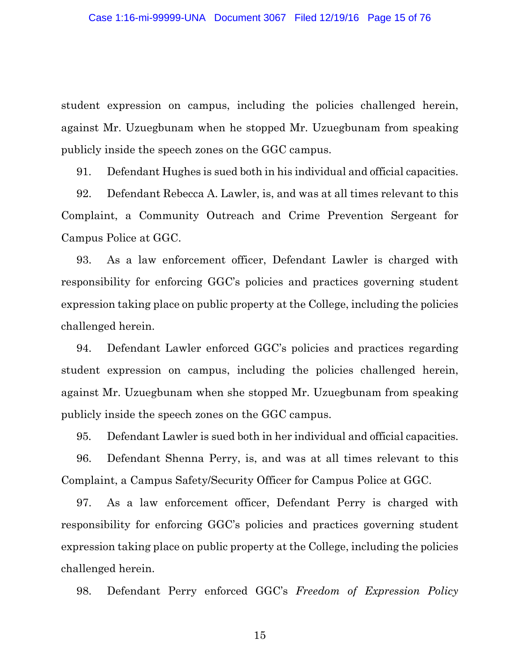student expression on campus, including the policies challenged herein, against Mr. Uzuegbunam when he stopped Mr. Uzuegbunam from speaking publicly inside the speech zones on the GGC campus.

91. Defendant Hughes is sued both in his individual and official capacities.

92. Defendant Rebecca A. Lawler, is, and was at all times relevant to this Complaint, a Community Outreach and Crime Prevention Sergeant for Campus Police at GGC.

93. As a law enforcement officer, Defendant Lawler is charged with responsibility for enforcing GGC's policies and practices governing student expression taking place on public property at the College, including the policies challenged herein.

94. Defendant Lawler enforced GGC's policies and practices regarding student expression on campus, including the policies challenged herein, against Mr. Uzuegbunam when she stopped Mr. Uzuegbunam from speaking publicly inside the speech zones on the GGC campus.

95. Defendant Lawler is sued both in her individual and official capacities.

96. Defendant Shenna Perry, is, and was at all times relevant to this Complaint, a Campus Safety/Security Officer for Campus Police at GGC.

97. As a law enforcement officer, Defendant Perry is charged with responsibility for enforcing GGC's policies and practices governing student expression taking place on public property at the College, including the policies challenged herein.

98. Defendant Perry enforced GGC's *Freedom of Expression Policy*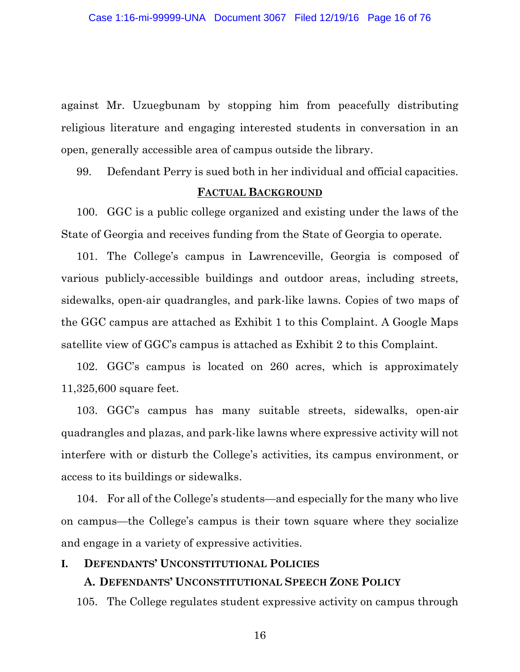against Mr. Uzuegbunam by stopping him from peacefully distributing religious literature and engaging interested students in conversation in an open, generally accessible area of campus outside the library.

99. Defendant Perry is sued both in her individual and official capacities.

#### **FACTUAL BACKGROUND**

100. GGC is a public college organized and existing under the laws of the State of Georgia and receives funding from the State of Georgia to operate.

101. The College's campus in Lawrenceville, Georgia is composed of various publicly-accessible buildings and outdoor areas, including streets, sidewalks, open-air quadrangles, and park-like lawns. Copies of two maps of the GGC campus are attached as Exhibit 1 to this Complaint. A Google Maps satellite view of GGC's campus is attached as Exhibit 2 to this Complaint.

102. GGC's campus is located on 260 acres, which is approximately 11,325,600 square feet.

103. GGC's campus has many suitable streets, sidewalks, open-air quadrangles and plazas, and park-like lawns where expressive activity will not interfere with or disturb the College's activities, its campus environment, or access to its buildings or sidewalks.

104. For all of the College's students—and especially for the many who live on campus—the College's campus is their town square where they socialize and engage in a variety of expressive activities.

#### **I. DEFENDANTS' UNCONSTITUTIONAL POLICIES**

#### **A. DEFENDANTS' UNCONSTITUTIONAL SPEECH ZONE POLICY**

105. The College regulates student expressive activity on campus through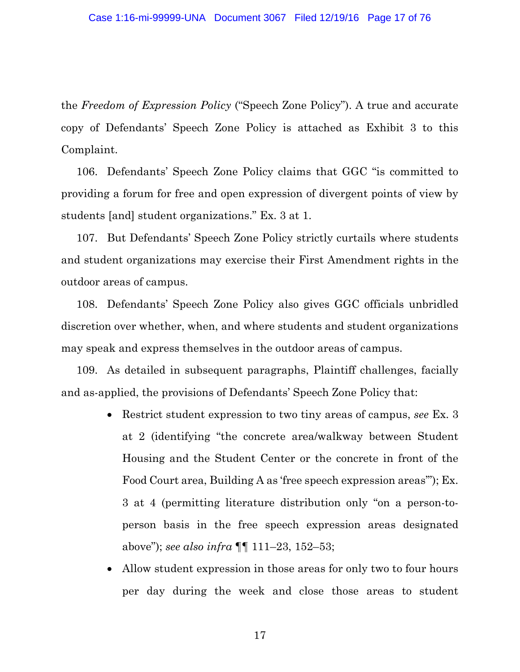the *Freedom of Expression Policy* ("Speech Zone Policy"). A true and accurate copy of Defendants' Speech Zone Policy is attached as Exhibit 3 to this Complaint.

106. Defendants' Speech Zone Policy claims that GGC "is committed to providing a forum for free and open expression of divergent points of view by students [and] student organizations." Ex. 3 at 1.

107. But Defendants' Speech Zone Policy strictly curtails where students and student organizations may exercise their First Amendment rights in the outdoor areas of campus.

108. Defendants' Speech Zone Policy also gives GGC officials unbridled discretion over whether, when, and where students and student organizations may speak and express themselves in the outdoor areas of campus.

109. As detailed in subsequent paragraphs, Plaintiff challenges, facially and as-applied, the provisions of Defendants' Speech Zone Policy that:

- Restrict student expression to two tiny areas of campus, *see* Ex. 3 at 2 (identifying "the concrete area/walkway between Student Housing and the Student Center or the concrete in front of the Food Court area, Building A as 'free speech expression areas'"); Ex. 3 at 4 (permitting literature distribution only "on a person-toperson basis in the free speech expression areas designated above"); *see also infra* ¶¶ 111–23, 152–53;
- Allow student expression in those areas for only two to four hours per day during the week and close those areas to student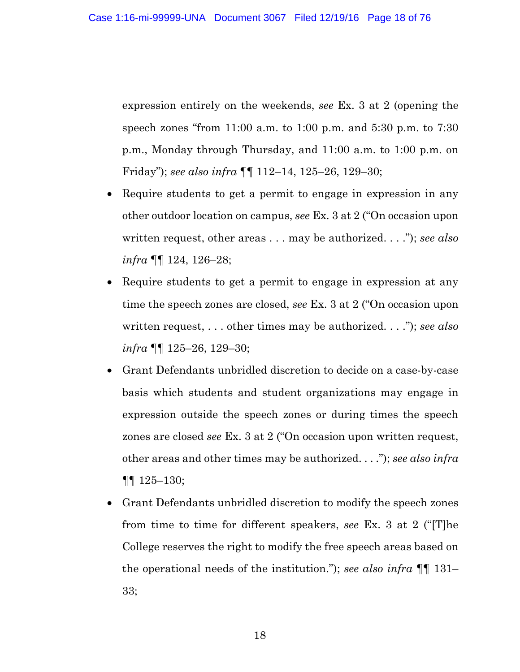expression entirely on the weekends, *see* Ex. 3 at 2 (opening the speech zones "from 11:00 a.m. to 1:00 p.m. and 5:30 p.m. to 7:30 p.m., Monday through Thursday, and 11:00 a.m. to 1:00 p.m. on Friday"); *see also infra* ¶¶ 112–14, 125–26, 129–30;

- Require students to get a permit to engage in expression in any other outdoor location on campus, *see* Ex. 3 at 2 ("On occasion upon written request, other areas . . . may be authorized. . . ."); *see also infra* ¶¶ 124, 126–28;
- Require students to get a permit to engage in expression at any time the speech zones are closed, *see* Ex. 3 at 2 ("On occasion upon written request, . . . other times may be authorized. . . ."); *see also infra* ¶¶ 125–26, 129–30;
- Grant Defendants unbridled discretion to decide on a case-by-case basis which students and student organizations may engage in expression outside the speech zones or during times the speech zones are closed *see* Ex. 3 at 2 ("On occasion upon written request, other areas and other times may be authorized. . . ."); *see also infra* ¶¶ 125–130;
- Grant Defendants unbridled discretion to modify the speech zones from time to time for different speakers, *see* Ex. 3 at 2 ("[T]he College reserves the right to modify the free speech areas based on the operational needs of the institution."); *see also infra* ¶¶ 131– 33;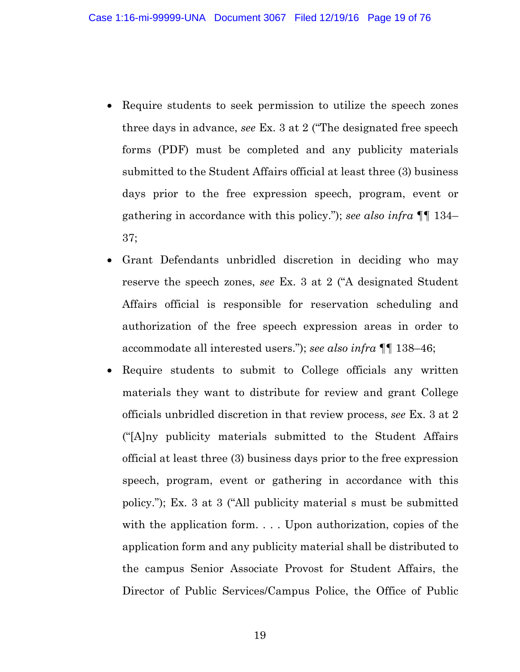- Require students to seek permission to utilize the speech zones three days in advance, *see* Ex. 3 at 2 ("The designated free speech forms (PDF) must be completed and any publicity materials submitted to the Student Affairs official at least three (3) business days prior to the free expression speech, program, event or gathering in accordance with this policy."); *see also infra* ¶¶ 134– 37;
- Grant Defendants unbridled discretion in deciding who may reserve the speech zones, *see* Ex. 3 at 2 ("A designated Student Affairs official is responsible for reservation scheduling and authorization of the free speech expression areas in order to accommodate all interested users."); *see also infra* ¶¶ 138–46;
- Require students to submit to College officials any written materials they want to distribute for review and grant College officials unbridled discretion in that review process, *see* Ex. 3 at 2 ("[A]ny publicity materials submitted to the Student Affairs official at least three (3) business days prior to the free expression speech, program, event or gathering in accordance with this policy."); Ex. 3 at 3 ("All publicity material s must be submitted with the application form. . . . Upon authorization, copies of the application form and any publicity material shall be distributed to the campus Senior Associate Provost for Student Affairs, the Director of Public Services/Campus Police, the Office of Public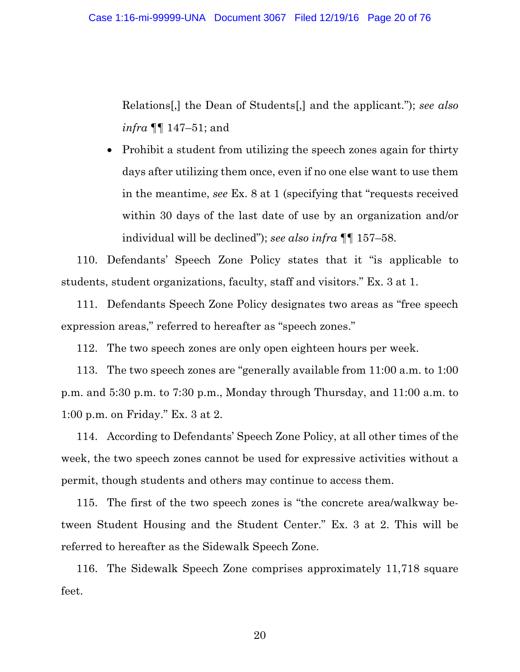Relations[,] the Dean of Students[,] and the applicant."); *see also infra* ¶¶ 147–51; and

• Prohibit a student from utilizing the speech zones again for thirty days after utilizing them once, even if no one else want to use them in the meantime, *see* Ex. 8 at 1 (specifying that "requests received within 30 days of the last date of use by an organization and/or individual will be declined"); *see also infra* ¶¶ 157–58.

110. Defendants' Speech Zone Policy states that it "is applicable to students, student organizations, faculty, staff and visitors." Ex. 3 at 1.

111. Defendants Speech Zone Policy designates two areas as "free speech expression areas," referred to hereafter as "speech zones."

112. The two speech zones are only open eighteen hours per week.

113. The two speech zones are "generally available from 11:00 a.m. to 1:00 p.m. and 5:30 p.m. to 7:30 p.m., Monday through Thursday, and 11:00 a.m. to 1:00 p.m. on Friday." Ex. 3 at 2.

114. According to Defendants' Speech Zone Policy, at all other times of the week, the two speech zones cannot be used for expressive activities without a permit, though students and others may continue to access them.

115. The first of the two speech zones is "the concrete area/walkway between Student Housing and the Student Center." Ex. 3 at 2. This will be referred to hereafter as the Sidewalk Speech Zone.

116. The Sidewalk Speech Zone comprises approximately 11,718 square feet.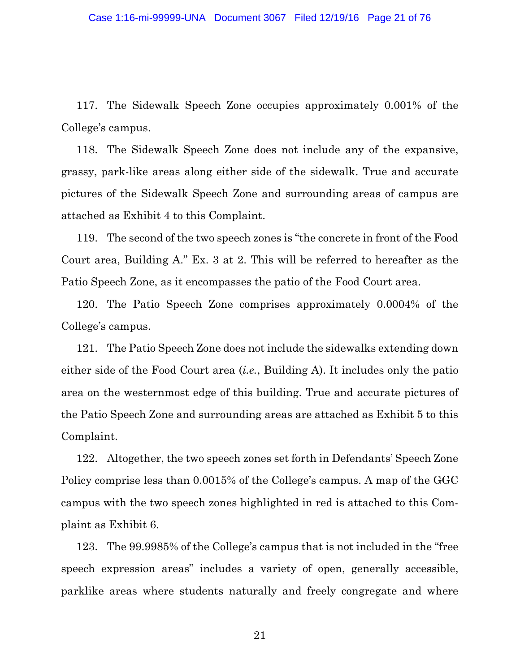117. The Sidewalk Speech Zone occupies approximately 0.001% of the College's campus.

118. The Sidewalk Speech Zone does not include any of the expansive, grassy, park-like areas along either side of the sidewalk. True and accurate pictures of the Sidewalk Speech Zone and surrounding areas of campus are attached as Exhibit 4 to this Complaint.

119. The second of the two speech zones is "the concrete in front of the Food Court area, Building A." Ex. 3 at 2. This will be referred to hereafter as the Patio Speech Zone, as it encompasses the patio of the Food Court area.

120. The Patio Speech Zone comprises approximately 0.0004% of the College's campus.

121. The Patio Speech Zone does not include the sidewalks extending down either side of the Food Court area (*i.e.*, Building A). It includes only the patio area on the westernmost edge of this building. True and accurate pictures of the Patio Speech Zone and surrounding areas are attached as Exhibit 5 to this Complaint.

122. Altogether, the two speech zones set forth in Defendants' Speech Zone Policy comprise less than 0.0015% of the College's campus. A map of the GGC campus with the two speech zones highlighted in red is attached to this Complaint as Exhibit 6.

123. The 99.9985% of the College's campus that is not included in the "free speech expression areas" includes a variety of open, generally accessible, parklike areas where students naturally and freely congregate and where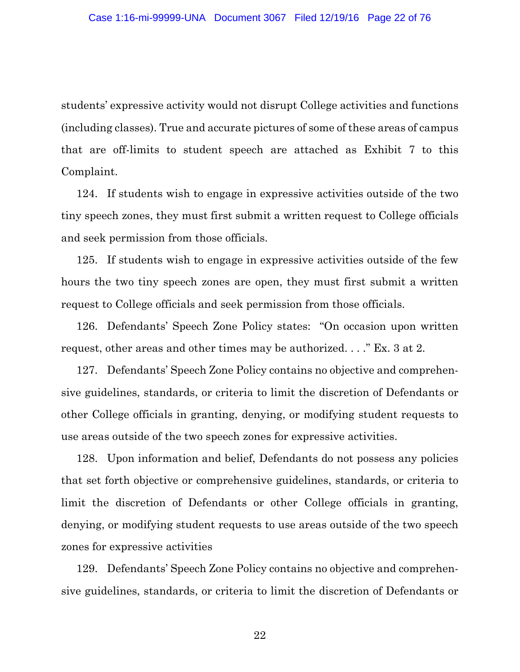students' expressive activity would not disrupt College activities and functions (including classes). True and accurate pictures of some of these areas of campus that are off-limits to student speech are attached as Exhibit 7 to this Complaint.

124. If students wish to engage in expressive activities outside of the two tiny speech zones, they must first submit a written request to College officials and seek permission from those officials.

125. If students wish to engage in expressive activities outside of the few hours the two tiny speech zones are open, they must first submit a written request to College officials and seek permission from those officials.

126. Defendants' Speech Zone Policy states: "On occasion upon written request, other areas and other times may be authorized. . . ." Ex. 3 at 2.

127. Defendants' Speech Zone Policy contains no objective and comprehensive guidelines, standards, or criteria to limit the discretion of Defendants or other College officials in granting, denying, or modifying student requests to use areas outside of the two speech zones for expressive activities.

128. Upon information and belief, Defendants do not possess any policies that set forth objective or comprehensive guidelines, standards, or criteria to limit the discretion of Defendants or other College officials in granting, denying, or modifying student requests to use areas outside of the two speech zones for expressive activities

129. Defendants' Speech Zone Policy contains no objective and comprehensive guidelines, standards, or criteria to limit the discretion of Defendants or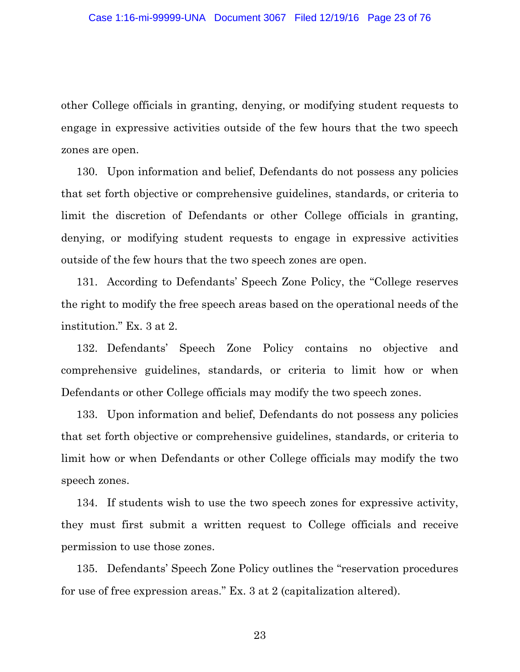other College officials in granting, denying, or modifying student requests to engage in expressive activities outside of the few hours that the two speech zones are open.

130. Upon information and belief, Defendants do not possess any policies that set forth objective or comprehensive guidelines, standards, or criteria to limit the discretion of Defendants or other College officials in granting, denying, or modifying student requests to engage in expressive activities outside of the few hours that the two speech zones are open.

131. According to Defendants' Speech Zone Policy, the "College reserves the right to modify the free speech areas based on the operational needs of the institution." Ex. 3 at 2.

132. Defendants' Speech Zone Policy contains no objective and comprehensive guidelines, standards, or criteria to limit how or when Defendants or other College officials may modify the two speech zones.

133. Upon information and belief, Defendants do not possess any policies that set forth objective or comprehensive guidelines, standards, or criteria to limit how or when Defendants or other College officials may modify the two speech zones.

134. If students wish to use the two speech zones for expressive activity, they must first submit a written request to College officials and receive permission to use those zones.

135. Defendants' Speech Zone Policy outlines the "reservation procedures for use of free expression areas." Ex. 3 at 2 (capitalization altered).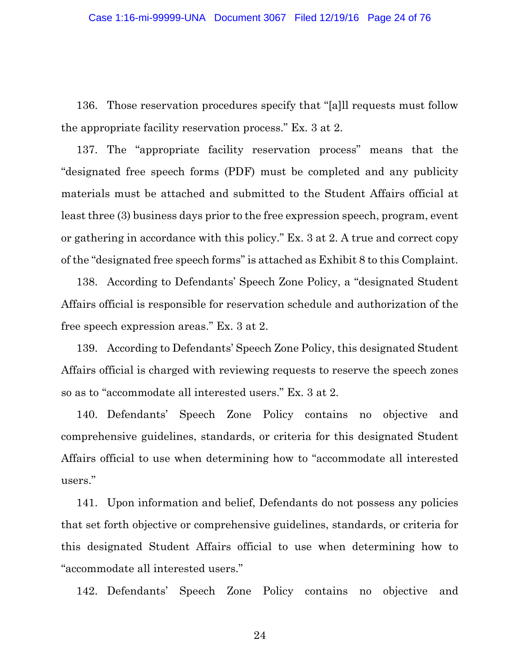136. Those reservation procedures specify that "[a]ll requests must follow the appropriate facility reservation process." Ex. 3 at 2.

137. The "appropriate facility reservation process" means that the "designated free speech forms (PDF) must be completed and any publicity materials must be attached and submitted to the Student Affairs official at least three (3) business days prior to the free expression speech, program, event or gathering in accordance with this policy." Ex. 3 at 2. A true and correct copy of the "designated free speech forms" is attached as Exhibit 8 to this Complaint.

138. According to Defendants' Speech Zone Policy, a "designated Student Affairs official is responsible for reservation schedule and authorization of the free speech expression areas." Ex. 3 at 2.

139. According to Defendants' Speech Zone Policy, this designated Student Affairs official is charged with reviewing requests to reserve the speech zones so as to "accommodate all interested users." Ex. 3 at 2.

140. Defendants' Speech Zone Policy contains no objective and comprehensive guidelines, standards, or criteria for this designated Student Affairs official to use when determining how to "accommodate all interested users."

141. Upon information and belief, Defendants do not possess any policies that set forth objective or comprehensive guidelines, standards, or criteria for this designated Student Affairs official to use when determining how to "accommodate all interested users."

142. Defendants' Speech Zone Policy contains no objective and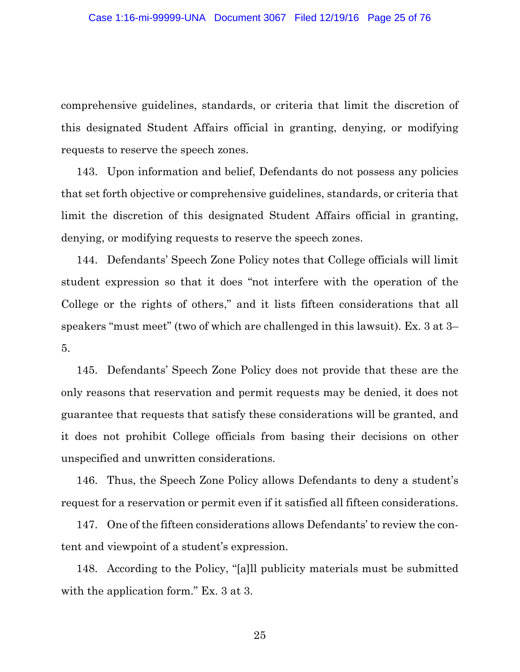comprehensive guidelines, standards, or criteria that limit the discretion of this designated Student Affairs official in granting, denying, or modifying requests to reserve the speech zones.

143. Upon information and belief, Defendants do not possess any policies that set forth objective or comprehensive guidelines, standards, or criteria that limit the discretion of this designated Student Affairs official in granting, denying, or modifying requests to reserve the speech zones.

144. Defendants' Speech Zone Policy notes that College officials will limit student expression so that it does "not interfere with the operation of the College or the rights of others," and it lists fifteen considerations that all speakers "must meet" (two of which are challenged in this lawsuit). Ex. 3 at 3– 5.

145. Defendants' Speech Zone Policy does not provide that these are the only reasons that reservation and permit requests may be denied, it does not guarantee that requests that satisfy these considerations will be granted, and it does not prohibit College officials from basing their decisions on other unspecified and unwritten considerations.

146. Thus, the Speech Zone Policy allows Defendants to deny a student's request for a reservation or permit even if it satisfied all fifteen considerations.

147. One of the fifteen considerations allows Defendants' to review the content and viewpoint of a student's expression.

148. According to the Policy, "[a]ll publicity materials must be submitted with the application form." Ex. 3 at 3.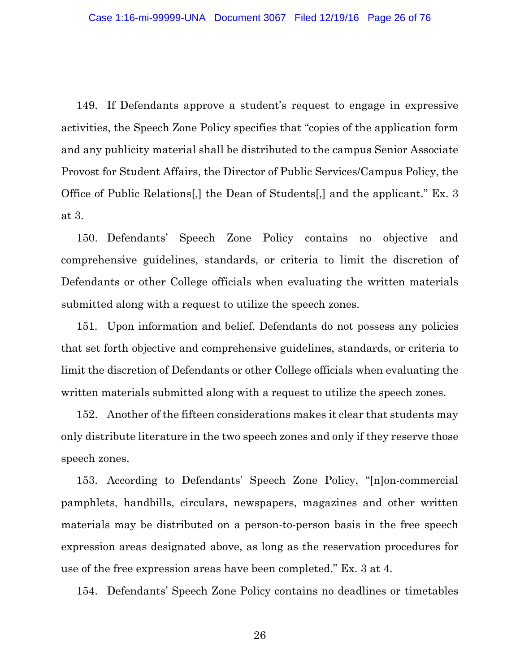149. If Defendants approve a student's request to engage in expressive activities, the Speech Zone Policy specifies that "copies of the application form and any publicity material shall be distributed to the campus Senior Associate Provost for Student Affairs, the Director of Public Services/Campus Policy, the Office of Public Relations[,] the Dean of Students[,] and the applicant." Ex. 3 at 3.

150. Defendants' Speech Zone Policy contains no objective and comprehensive guidelines, standards, or criteria to limit the discretion of Defendants or other College officials when evaluating the written materials submitted along with a request to utilize the speech zones.

151. Upon information and belief, Defendants do not possess any policies that set forth objective and comprehensive guidelines, standards, or criteria to limit the discretion of Defendants or other College officials when evaluating the written materials submitted along with a request to utilize the speech zones.

152. Another of the fifteen considerations makes it clear that students may only distribute literature in the two speech zones and only if they reserve those speech zones.

153. According to Defendants' Speech Zone Policy, "[n]on-commercial pamphlets, handbills, circulars, newspapers, magazines and other written materials may be distributed on a person-to-person basis in the free speech expression areas designated above, as long as the reservation procedures for use of the free expression areas have been completed." Ex. 3 at 4.

154. Defendants' Speech Zone Policy contains no deadlines or timetables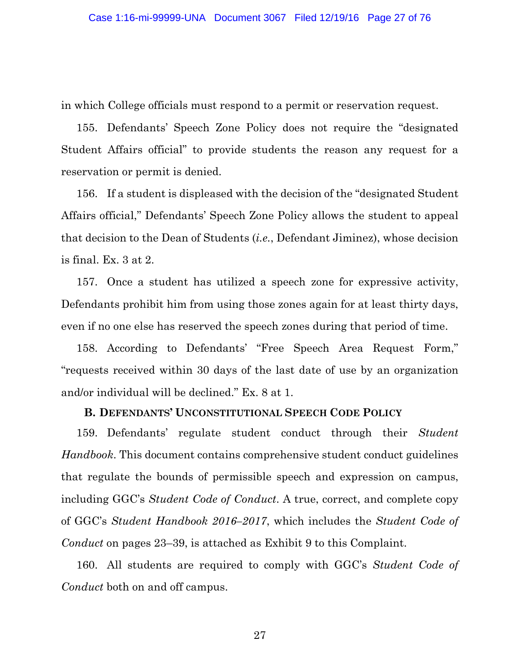in which College officials must respond to a permit or reservation request.

155. Defendants' Speech Zone Policy does not require the "designated Student Affairs official" to provide students the reason any request for a reservation or permit is denied.

156. If a student is displeased with the decision of the "designated Student Affairs official," Defendants' Speech Zone Policy allows the student to appeal that decision to the Dean of Students (*i.e.*, Defendant Jiminez), whose decision is final. Ex. 3 at 2.

157. Once a student has utilized a speech zone for expressive activity, Defendants prohibit him from using those zones again for at least thirty days, even if no one else has reserved the speech zones during that period of time.

158. According to Defendants' "Free Speech Area Request Form," "requests received within 30 days of the last date of use by an organization and/or individual will be declined." Ex. 8 at 1.

# **B. DEFENDANTS' UNCONSTITUTIONAL SPEECH CODE POLICY**

159. Defendants' regulate student conduct through their *Student Handbook*. This document contains comprehensive student conduct guidelines that regulate the bounds of permissible speech and expression on campus, including GGC's *Student Code of Conduct*. A true, correct, and complete copy of GGC's *Student Handbook 2016–2017*, which includes the *Student Code of Conduct* on pages 23–39, is attached as Exhibit 9 to this Complaint.

160. All students are required to comply with GGC's *Student Code of Conduct* both on and off campus.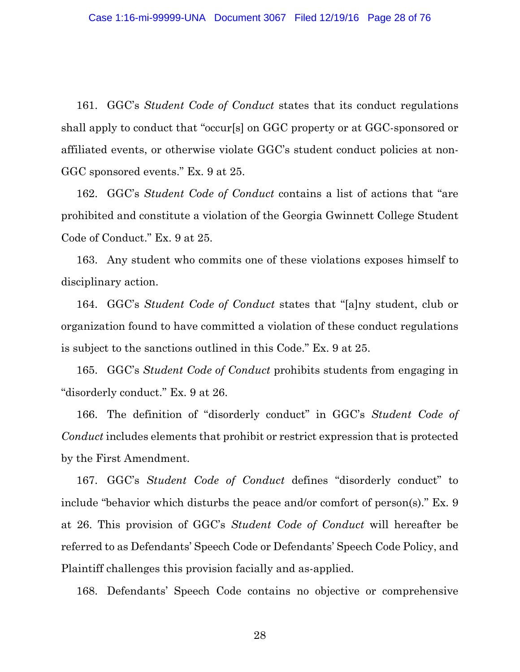161. GGC's *Student Code of Conduct* states that its conduct regulations shall apply to conduct that "occur[s] on GGC property or at GGC-sponsored or affiliated events, or otherwise violate GGC's student conduct policies at non-GGC sponsored events." Ex. 9 at 25.

162. GGC's *Student Code of Conduct* contains a list of actions that "are prohibited and constitute a violation of the Georgia Gwinnett College Student Code of Conduct." Ex. 9 at 25.

163. Any student who commits one of these violations exposes himself to disciplinary action.

164. GGC's *Student Code of Conduct* states that "[a]ny student, club or organization found to have committed a violation of these conduct regulations is subject to the sanctions outlined in this Code." Ex. 9 at 25.

165. GGC's *Student Code of Conduct* prohibits students from engaging in "disorderly conduct." Ex. 9 at 26.

166. The definition of "disorderly conduct" in GGC's *Student Code of Conduct* includes elements that prohibit or restrict expression that is protected by the First Amendment.

167. GGC's *Student Code of Conduct* defines "disorderly conduct" to include "behavior which disturbs the peace and/or comfort of person(s)." Ex. 9 at 26. This provision of GGC's *Student Code of Conduct* will hereafter be referred to as Defendants' Speech Code or Defendants' Speech Code Policy, and Plaintiff challenges this provision facially and as-applied.

168. Defendants' Speech Code contains no objective or comprehensive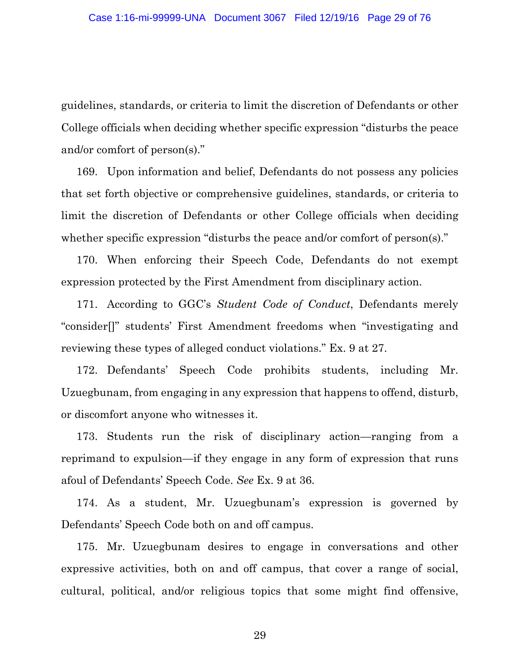guidelines, standards, or criteria to limit the discretion of Defendants or other College officials when deciding whether specific expression "disturbs the peace and/or comfort of person(s)."

169. Upon information and belief, Defendants do not possess any policies that set forth objective or comprehensive guidelines, standards, or criteria to limit the discretion of Defendants or other College officials when deciding whether specific expression "disturbs the peace and/or comfort of person(s)."

170. When enforcing their Speech Code, Defendants do not exempt expression protected by the First Amendment from disciplinary action.

171. According to GGC's *Student Code of Conduct*, Defendants merely "consider[]" students' First Amendment freedoms when "investigating and reviewing these types of alleged conduct violations." Ex. 9 at 27.

172. Defendants' Speech Code prohibits students, including Mr. Uzuegbunam, from engaging in any expression that happens to offend, disturb, or discomfort anyone who witnesses it.

173. Students run the risk of disciplinary action—ranging from a reprimand to expulsion—if they engage in any form of expression that runs afoul of Defendants' Speech Code. *See* Ex. 9 at 36.

174. As a student, Mr. Uzuegbunam's expression is governed by Defendants' Speech Code both on and off campus.

175. Mr. Uzuegbunam desires to engage in conversations and other expressive activities, both on and off campus, that cover a range of social, cultural, political, and/or religious topics that some might find offensive,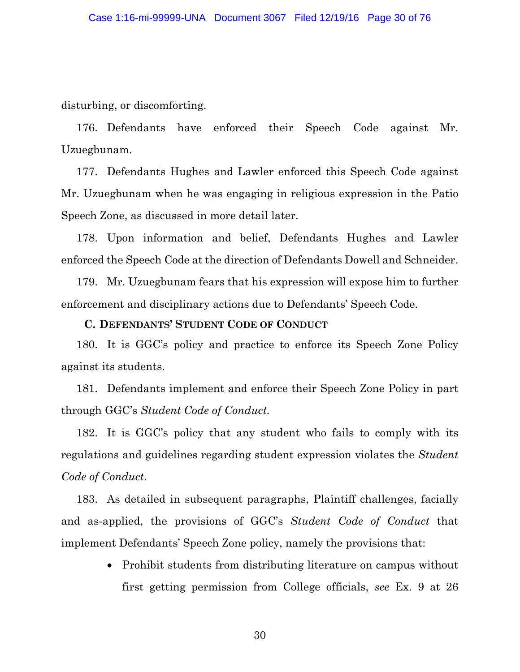disturbing, or discomforting.

176. Defendants have enforced their Speech Code against Mr. Uzuegbunam.

177. Defendants Hughes and Lawler enforced this Speech Code against Mr. Uzuegbunam when he was engaging in religious expression in the Patio Speech Zone, as discussed in more detail later.

178. Upon information and belief, Defendants Hughes and Lawler enforced the Speech Code at the direction of Defendants Dowell and Schneider.

179. Mr. Uzuegbunam fears that his expression will expose him to further enforcement and disciplinary actions due to Defendants' Speech Code.

### **C. DEFENDANTS' STUDENT CODE OF CONDUCT**

180. It is GGC's policy and practice to enforce its Speech Zone Policy against its students.

181. Defendants implement and enforce their Speech Zone Policy in part through GGC's *Student Code of Conduct.*

182. It is GGC's policy that any student who fails to comply with its regulations and guidelines regarding student expression violates the *Student Code of Conduct*.

183. As detailed in subsequent paragraphs, Plaintiff challenges, facially and as-applied, the provisions of GGC's *Student Code of Conduct* that implement Defendants' Speech Zone policy, namely the provisions that:

> • Prohibit students from distributing literature on campus without first getting permission from College officials, *see* Ex. 9 at 26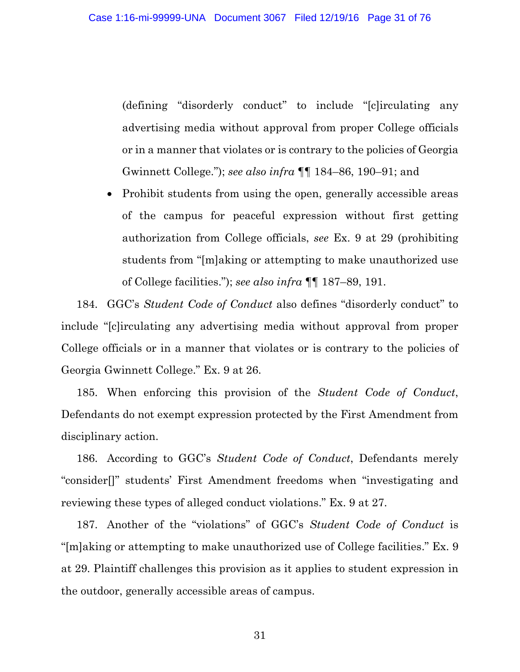(defining "disorderly conduct" to include "[c]irculating any advertising media without approval from proper College officials or in a manner that violates or is contrary to the policies of Georgia Gwinnett College."); *see also infra* ¶¶ 184–86, 190–91; and

• Prohibit students from using the open, generally accessible areas of the campus for peaceful expression without first getting authorization from College officials, *see* Ex. 9 at 29 (prohibiting students from "[m]aking or attempting to make unauthorized use of College facilities."); *see also infra* ¶¶ 187–89, 191.

184. GGC's *Student Code of Conduct* also defines "disorderly conduct" to include "[c]irculating any advertising media without approval from proper College officials or in a manner that violates or is contrary to the policies of Georgia Gwinnett College." Ex. 9 at 26.

185. When enforcing this provision of the *Student Code of Conduct*, Defendants do not exempt expression protected by the First Amendment from disciplinary action.

186. According to GGC's *Student Code of Conduct*, Defendants merely "consider[]" students' First Amendment freedoms when "investigating and reviewing these types of alleged conduct violations." Ex. 9 at 27.

187. Another of the "violations" of GGC's *Student Code of Conduct* is "[m]aking or attempting to make unauthorized use of College facilities." Ex. 9 at 29. Plaintiff challenges this provision as it applies to student expression in the outdoor, generally accessible areas of campus.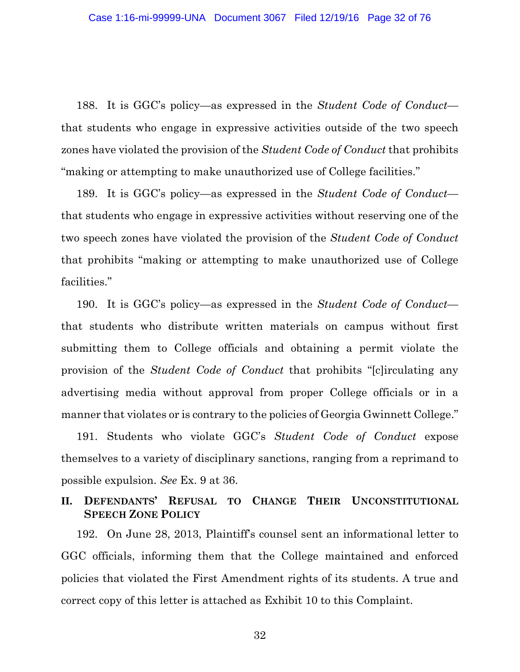188. It is GGC's policy—as expressed in the *Student Code of Conduct* that students who engage in expressive activities outside of the two speech zones have violated the provision of the *Student Code of Conduct* that prohibits "making or attempting to make unauthorized use of College facilities."

189. It is GGC's policy—as expressed in the *Student Code of Conduct* that students who engage in expressive activities without reserving one of the two speech zones have violated the provision of the *Student Code of Conduct*  that prohibits "making or attempting to make unauthorized use of College facilities."

190. It is GGC's policy—as expressed in the *Student Code of Conduct* that students who distribute written materials on campus without first submitting them to College officials and obtaining a permit violate the provision of the *Student Code of Conduct* that prohibits "[c]irculating any advertising media without approval from proper College officials or in a manner that violates or is contrary to the policies of Georgia Gwinnett College."

191. Students who violate GGC's *Student Code of Conduct* expose themselves to a variety of disciplinary sanctions, ranging from a reprimand to possible expulsion. *See* Ex. 9 at 36.

## **II. DEFENDANTS' REFUSAL TO CHANGE THEIR UNCONSTITUTIONAL SPEECH ZONE POLICY**

192. On June 28, 2013, Plaintiff's counsel sent an informational letter to GGC officials, informing them that the College maintained and enforced policies that violated the First Amendment rights of its students. A true and correct copy of this letter is attached as Exhibit 10 to this Complaint.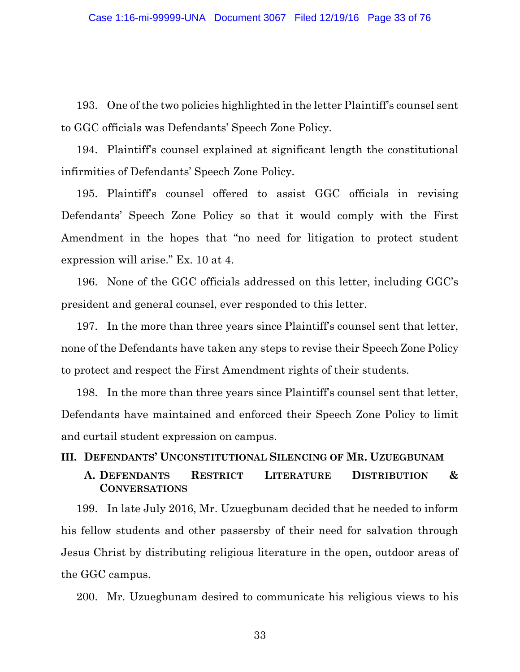193. One of the two policies highlighted in the letter Plaintiff's counsel sent to GGC officials was Defendants' Speech Zone Policy.

194. Plaintiff's counsel explained at significant length the constitutional infirmities of Defendants' Speech Zone Policy.

195. Plaintiff's counsel offered to assist GGC officials in revising Defendants' Speech Zone Policy so that it would comply with the First Amendment in the hopes that "no need for litigation to protect student expression will arise." Ex. 10 at 4.

196. None of the GGC officials addressed on this letter, including GGC's president and general counsel, ever responded to this letter.

197. In the more than three years since Plaintiff's counsel sent that letter, none of the Defendants have taken any steps to revise their Speech Zone Policy to protect and respect the First Amendment rights of their students.

198. In the more than three years since Plaintiff's counsel sent that letter, Defendants have maintained and enforced their Speech Zone Policy to limit and curtail student expression on campus.

#### **III. DEFENDANTS' UNCONSTITUTIONAL SILENCING OF MR. UZUEGBUNAM**

## **A. DEFENDANTS RESTRICT LITERATURE DISTRIBUTION & CONVERSATIONS**

199. In late July 2016, Mr. Uzuegbunam decided that he needed to inform his fellow students and other passersby of their need for salvation through Jesus Christ by distributing religious literature in the open, outdoor areas of the GGC campus.

200. Mr. Uzuegbunam desired to communicate his religious views to his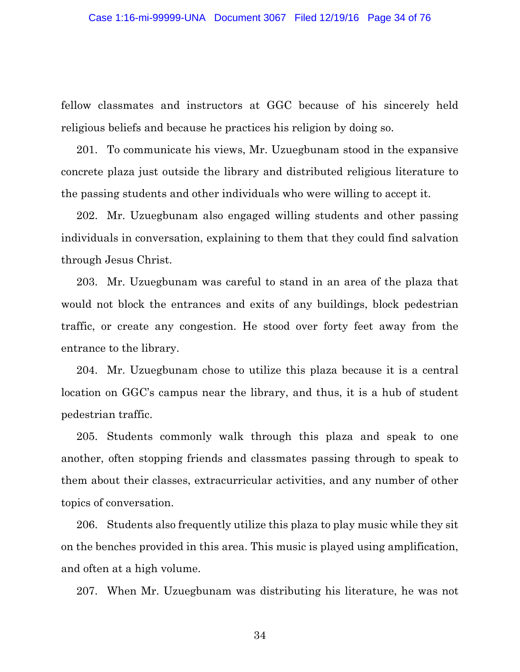fellow classmates and instructors at GGC because of his sincerely held religious beliefs and because he practices his religion by doing so.

201. To communicate his views, Mr. Uzuegbunam stood in the expansive concrete plaza just outside the library and distributed religious literature to the passing students and other individuals who were willing to accept it.

202. Mr. Uzuegbunam also engaged willing students and other passing individuals in conversation, explaining to them that they could find salvation through Jesus Christ.

203. Mr. Uzuegbunam was careful to stand in an area of the plaza that would not block the entrances and exits of any buildings, block pedestrian traffic, or create any congestion. He stood over forty feet away from the entrance to the library.

204. Mr. Uzuegbunam chose to utilize this plaza because it is a central location on GGC's campus near the library, and thus, it is a hub of student pedestrian traffic.

205. Students commonly walk through this plaza and speak to one another, often stopping friends and classmates passing through to speak to them about their classes, extracurricular activities, and any number of other topics of conversation.

206. Students also frequently utilize this plaza to play music while they sit on the benches provided in this area. This music is played using amplification, and often at a high volume.

207. When Mr. Uzuegbunam was distributing his literature, he was not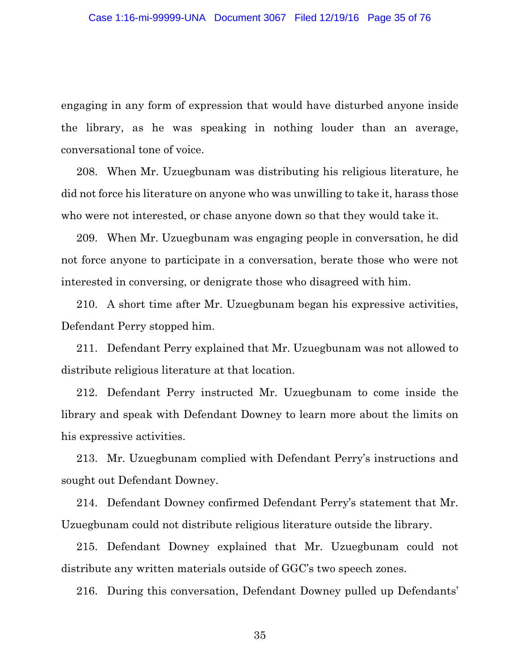engaging in any form of expression that would have disturbed anyone inside the library, as he was speaking in nothing louder than an average, conversational tone of voice.

208. When Mr. Uzuegbunam was distributing his religious literature, he did not force his literature on anyone who was unwilling to take it, harass those who were not interested, or chase anyone down so that they would take it.

209. When Mr. Uzuegbunam was engaging people in conversation, he did not force anyone to participate in a conversation, berate those who were not interested in conversing, or denigrate those who disagreed with him.

210. A short time after Mr. Uzuegbunam began his expressive activities, Defendant Perry stopped him.

211. Defendant Perry explained that Mr. Uzuegbunam was not allowed to distribute religious literature at that location.

212. Defendant Perry instructed Mr. Uzuegbunam to come inside the library and speak with Defendant Downey to learn more about the limits on his expressive activities.

213. Mr. Uzuegbunam complied with Defendant Perry's instructions and sought out Defendant Downey.

214. Defendant Downey confirmed Defendant Perry's statement that Mr. Uzuegbunam could not distribute religious literature outside the library.

215. Defendant Downey explained that Mr. Uzuegbunam could not distribute any written materials outside of GGC's two speech zones.

216. During this conversation, Defendant Downey pulled up Defendants'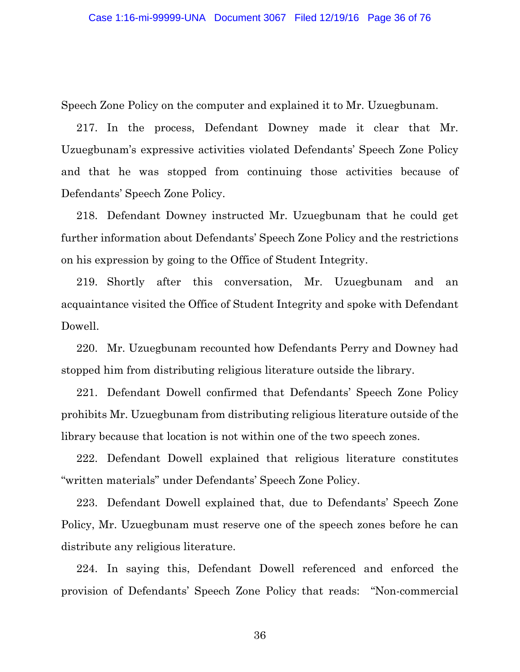Speech Zone Policy on the computer and explained it to Mr. Uzuegbunam.

217. In the process, Defendant Downey made it clear that Mr. Uzuegbunam's expressive activities violated Defendants' Speech Zone Policy and that he was stopped from continuing those activities because of Defendants' Speech Zone Policy.

218. Defendant Downey instructed Mr. Uzuegbunam that he could get further information about Defendants' Speech Zone Policy and the restrictions on his expression by going to the Office of Student Integrity.

219. Shortly after this conversation, Mr. Uzuegbunam and an acquaintance visited the Office of Student Integrity and spoke with Defendant Dowell.

220. Mr. Uzuegbunam recounted how Defendants Perry and Downey had stopped him from distributing religious literature outside the library.

221. Defendant Dowell confirmed that Defendants' Speech Zone Policy prohibits Mr. Uzuegbunam from distributing religious literature outside of the library because that location is not within one of the two speech zones.

222. Defendant Dowell explained that religious literature constitutes "written materials" under Defendants' Speech Zone Policy.

223. Defendant Dowell explained that, due to Defendants' Speech Zone Policy, Mr. Uzuegbunam must reserve one of the speech zones before he can distribute any religious literature.

224. In saying this, Defendant Dowell referenced and enforced the provision of Defendants' Speech Zone Policy that reads: "Non-commercial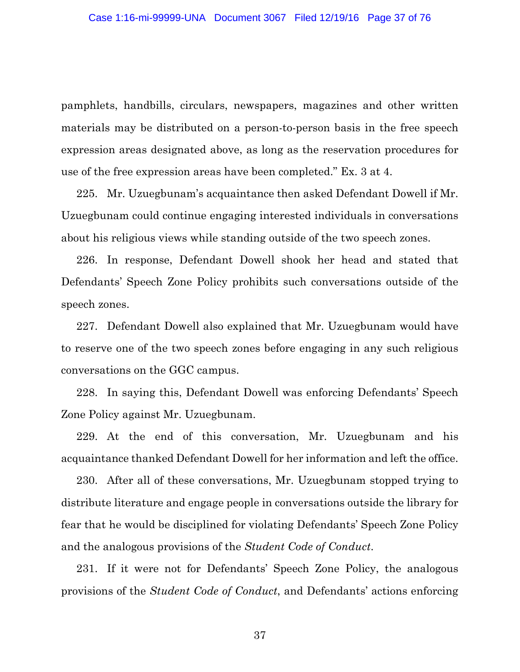pamphlets, handbills, circulars, newspapers, magazines and other written materials may be distributed on a person-to-person basis in the free speech expression areas designated above, as long as the reservation procedures for use of the free expression areas have been completed." Ex. 3 at 4.

225. Mr. Uzuegbunam's acquaintance then asked Defendant Dowell if Mr. Uzuegbunam could continue engaging interested individuals in conversations about his religious views while standing outside of the two speech zones.

226. In response, Defendant Dowell shook her head and stated that Defendants' Speech Zone Policy prohibits such conversations outside of the speech zones.

227. Defendant Dowell also explained that Mr. Uzuegbunam would have to reserve one of the two speech zones before engaging in any such religious conversations on the GGC campus.

228. In saying this, Defendant Dowell was enforcing Defendants' Speech Zone Policy against Mr. Uzuegbunam.

229. At the end of this conversation, Mr. Uzuegbunam and his acquaintance thanked Defendant Dowell for her information and left the office.

230. After all of these conversations, Mr. Uzuegbunam stopped trying to distribute literature and engage people in conversations outside the library for fear that he would be disciplined for violating Defendants' Speech Zone Policy and the analogous provisions of the *Student Code of Conduct*.

231. If it were not for Defendants' Speech Zone Policy, the analogous provisions of the *Student Code of Conduct*, and Defendants' actions enforcing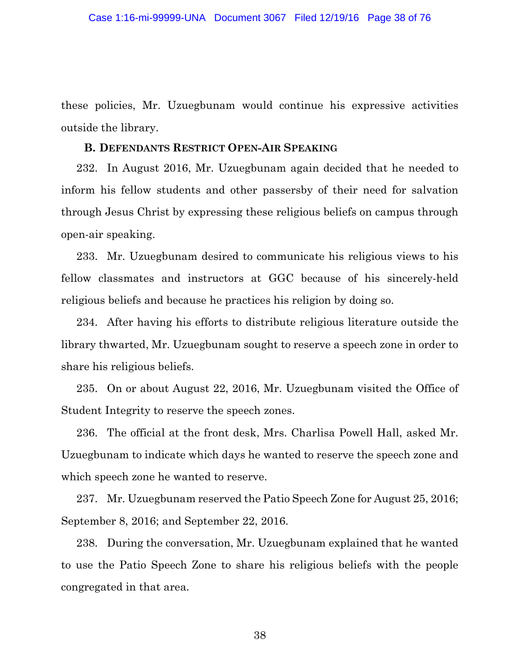these policies, Mr. Uzuegbunam would continue his expressive activities outside the library.

#### **B. DEFENDANTS RESTRICT OPEN-AIR SPEAKING**

232. In August 2016, Mr. Uzuegbunam again decided that he needed to inform his fellow students and other passersby of their need for salvation through Jesus Christ by expressing these religious beliefs on campus through open-air speaking.

233. Mr. Uzuegbunam desired to communicate his religious views to his fellow classmates and instructors at GGC because of his sincerely-held religious beliefs and because he practices his religion by doing so.

234. After having his efforts to distribute religious literature outside the library thwarted, Mr. Uzuegbunam sought to reserve a speech zone in order to share his religious beliefs.

235. On or about August 22, 2016, Mr. Uzuegbunam visited the Office of Student Integrity to reserve the speech zones.

236. The official at the front desk, Mrs. Charlisa Powell Hall, asked Mr. Uzuegbunam to indicate which days he wanted to reserve the speech zone and which speech zone he wanted to reserve.

237. Mr. Uzuegbunam reserved the Patio Speech Zone for August 25, 2016; September 8, 2016; and September 22, 2016.

238. During the conversation, Mr. Uzuegbunam explained that he wanted to use the Patio Speech Zone to share his religious beliefs with the people congregated in that area.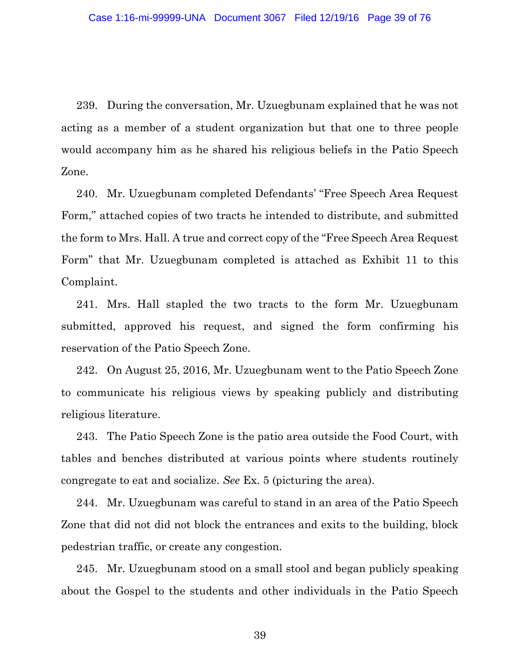239. During the conversation, Mr. Uzuegbunam explained that he was not acting as a member of a student organization but that one to three people would accompany him as he shared his religious beliefs in the Patio Speech Zone.

240. Mr. Uzuegbunam completed Defendants' "Free Speech Area Request Form," attached copies of two tracts he intended to distribute, and submitted the form to Mrs. Hall. A true and correct copy of the "Free Speech Area Request Form" that Mr. Uzuegbunam completed is attached as Exhibit 11 to this Complaint.

241. Mrs. Hall stapled the two tracts to the form Mr. Uzuegbunam submitted, approved his request, and signed the form confirming his reservation of the Patio Speech Zone.

242. On August 25, 2016, Mr. Uzuegbunam went to the Patio Speech Zone to communicate his religious views by speaking publicly and distributing religious literature.

243. The Patio Speech Zone is the patio area outside the Food Court, with tables and benches distributed at various points where students routinely congregate to eat and socialize. *See* Ex. 5 (picturing the area).

244. Mr. Uzuegbunam was careful to stand in an area of the Patio Speech Zone that did not did not block the entrances and exits to the building, block pedestrian traffic, or create any congestion.

245. Mr. Uzuegbunam stood on a small stool and began publicly speaking about the Gospel to the students and other individuals in the Patio Speech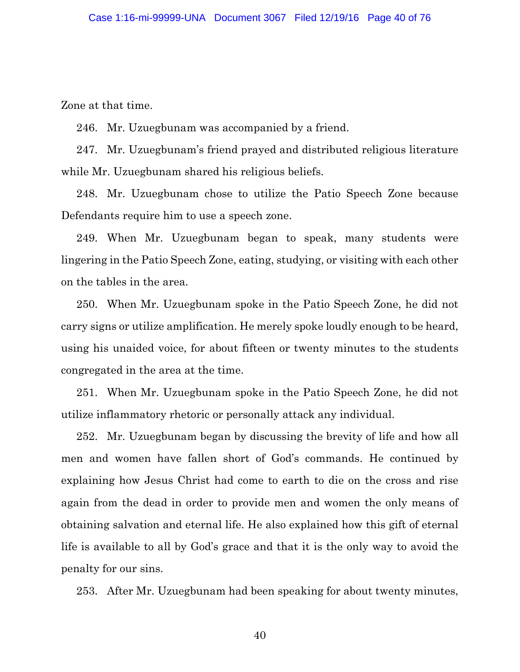Zone at that time.

246. Mr. Uzuegbunam was accompanied by a friend.

247. Mr. Uzuegbunam's friend prayed and distributed religious literature while Mr. Uzuegbunam shared his religious beliefs.

248. Mr. Uzuegbunam chose to utilize the Patio Speech Zone because Defendants require him to use a speech zone.

249. When Mr. Uzuegbunam began to speak, many students were lingering in the Patio Speech Zone, eating, studying, or visiting with each other on the tables in the area.

250. When Mr. Uzuegbunam spoke in the Patio Speech Zone, he did not carry signs or utilize amplification. He merely spoke loudly enough to be heard, using his unaided voice, for about fifteen or twenty minutes to the students congregated in the area at the time.

251. When Mr. Uzuegbunam spoke in the Patio Speech Zone, he did not utilize inflammatory rhetoric or personally attack any individual.

252. Mr. Uzuegbunam began by discussing the brevity of life and how all men and women have fallen short of God's commands. He continued by explaining how Jesus Christ had come to earth to die on the cross and rise again from the dead in order to provide men and women the only means of obtaining salvation and eternal life. He also explained how this gift of eternal life is available to all by God's grace and that it is the only way to avoid the penalty for our sins.

253. After Mr. Uzuegbunam had been speaking for about twenty minutes,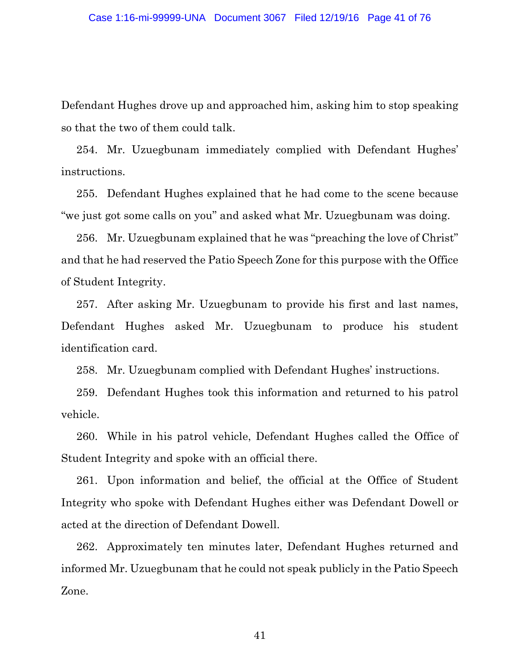Defendant Hughes drove up and approached him, asking him to stop speaking so that the two of them could talk.

254. Mr. Uzuegbunam immediately complied with Defendant Hughes' instructions.

255. Defendant Hughes explained that he had come to the scene because "we just got some calls on you" and asked what Mr. Uzuegbunam was doing.

256. Mr. Uzuegbunam explained that he was "preaching the love of Christ" and that he had reserved the Patio Speech Zone for this purpose with the Office of Student Integrity.

257. After asking Mr. Uzuegbunam to provide his first and last names, Defendant Hughes asked Mr. Uzuegbunam to produce his student identification card.

258. Mr. Uzuegbunam complied with Defendant Hughes' instructions.

259. Defendant Hughes took this information and returned to his patrol vehicle.

260. While in his patrol vehicle, Defendant Hughes called the Office of Student Integrity and spoke with an official there.

261. Upon information and belief, the official at the Office of Student Integrity who spoke with Defendant Hughes either was Defendant Dowell or acted at the direction of Defendant Dowell.

262. Approximately ten minutes later, Defendant Hughes returned and informed Mr. Uzuegbunam that he could not speak publicly in the Patio Speech Zone.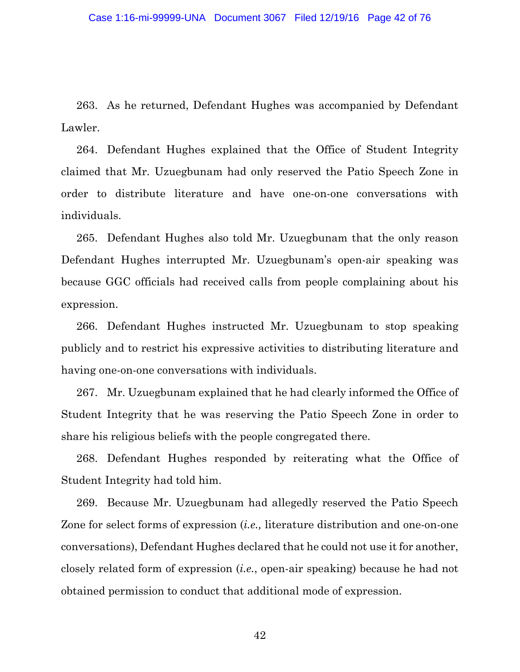263. As he returned, Defendant Hughes was accompanied by Defendant Lawler.

264. Defendant Hughes explained that the Office of Student Integrity claimed that Mr. Uzuegbunam had only reserved the Patio Speech Zone in order to distribute literature and have one-on-one conversations with individuals.

265. Defendant Hughes also told Mr. Uzuegbunam that the only reason Defendant Hughes interrupted Mr. Uzuegbunam's open-air speaking was because GGC officials had received calls from people complaining about his expression.

266. Defendant Hughes instructed Mr. Uzuegbunam to stop speaking publicly and to restrict his expressive activities to distributing literature and having one-on-one conversations with individuals.

267. Mr. Uzuegbunam explained that he had clearly informed the Office of Student Integrity that he was reserving the Patio Speech Zone in order to share his religious beliefs with the people congregated there.

268. Defendant Hughes responded by reiterating what the Office of Student Integrity had told him.

269. Because Mr. Uzuegbunam had allegedly reserved the Patio Speech Zone for select forms of expression (*i.e.,* literature distribution and one-on-one conversations), Defendant Hughes declared that he could not use it for another, closely related form of expression (*i.e.*, open-air speaking) because he had not obtained permission to conduct that additional mode of expression.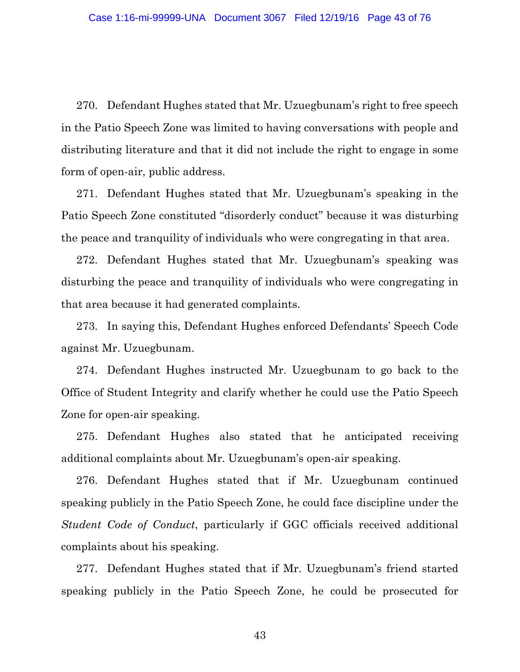270. Defendant Hughes stated that Mr. Uzuegbunam's right to free speech in the Patio Speech Zone was limited to having conversations with people and distributing literature and that it did not include the right to engage in some form of open-air, public address.

271. Defendant Hughes stated that Mr. Uzuegbunam's speaking in the Patio Speech Zone constituted "disorderly conduct" because it was disturbing the peace and tranquility of individuals who were congregating in that area.

272. Defendant Hughes stated that Mr. Uzuegbunam's speaking was disturbing the peace and tranquility of individuals who were congregating in that area because it had generated complaints.

273. In saying this, Defendant Hughes enforced Defendants' Speech Code against Mr. Uzuegbunam.

274. Defendant Hughes instructed Mr. Uzuegbunam to go back to the Office of Student Integrity and clarify whether he could use the Patio Speech Zone for open-air speaking.

275. Defendant Hughes also stated that he anticipated receiving additional complaints about Mr. Uzuegbunam's open-air speaking.

276. Defendant Hughes stated that if Mr. Uzuegbunam continued speaking publicly in the Patio Speech Zone, he could face discipline under the *Student Code of Conduct*, particularly if GGC officials received additional complaints about his speaking.

277. Defendant Hughes stated that if Mr. Uzuegbunam's friend started speaking publicly in the Patio Speech Zone, he could be prosecuted for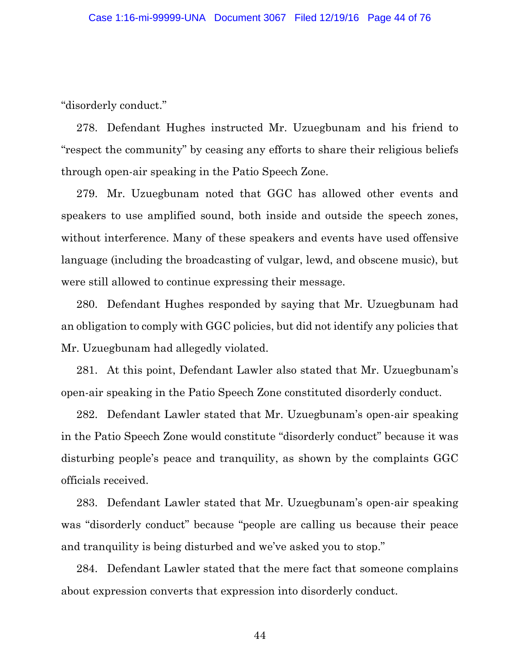"disorderly conduct."

278. Defendant Hughes instructed Mr. Uzuegbunam and his friend to "respect the community" by ceasing any efforts to share their religious beliefs through open-air speaking in the Patio Speech Zone.

279. Mr. Uzuegbunam noted that GGC has allowed other events and speakers to use amplified sound, both inside and outside the speech zones, without interference. Many of these speakers and events have used offensive language (including the broadcasting of vulgar, lewd, and obscene music), but were still allowed to continue expressing their message.

280. Defendant Hughes responded by saying that Mr. Uzuegbunam had an obligation to comply with GGC policies, but did not identify any policies that Mr. Uzuegbunam had allegedly violated.

281. At this point, Defendant Lawler also stated that Mr. Uzuegbunam's open-air speaking in the Patio Speech Zone constituted disorderly conduct.

282. Defendant Lawler stated that Mr. Uzuegbunam's open-air speaking in the Patio Speech Zone would constitute "disorderly conduct" because it was disturbing people's peace and tranquility, as shown by the complaints GGC officials received.

283. Defendant Lawler stated that Mr. Uzuegbunam's open-air speaking was "disorderly conduct" because "people are calling us because their peace and tranquility is being disturbed and we've asked you to stop."

284. Defendant Lawler stated that the mere fact that someone complains about expression converts that expression into disorderly conduct.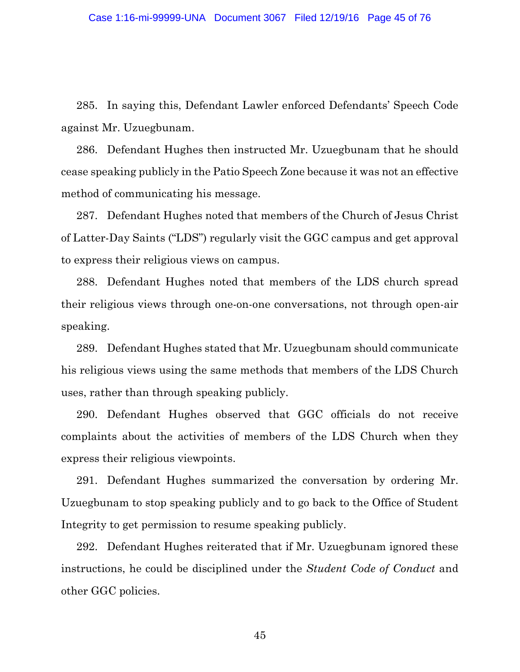285. In saying this, Defendant Lawler enforced Defendants' Speech Code against Mr. Uzuegbunam.

286. Defendant Hughes then instructed Mr. Uzuegbunam that he should cease speaking publicly in the Patio Speech Zone because it was not an effective method of communicating his message.

287. Defendant Hughes noted that members of the Church of Jesus Christ of Latter-Day Saints ("LDS") regularly visit the GGC campus and get approval to express their religious views on campus.

288. Defendant Hughes noted that members of the LDS church spread their religious views through one-on-one conversations, not through open-air speaking.

289. Defendant Hughes stated that Mr. Uzuegbunam should communicate his religious views using the same methods that members of the LDS Church uses, rather than through speaking publicly.

290. Defendant Hughes observed that GGC officials do not receive complaints about the activities of members of the LDS Church when they express their religious viewpoints.

291. Defendant Hughes summarized the conversation by ordering Mr. Uzuegbunam to stop speaking publicly and to go back to the Office of Student Integrity to get permission to resume speaking publicly.

292. Defendant Hughes reiterated that if Mr. Uzuegbunam ignored these instructions, he could be disciplined under the *Student Code of Conduct* and other GGC policies.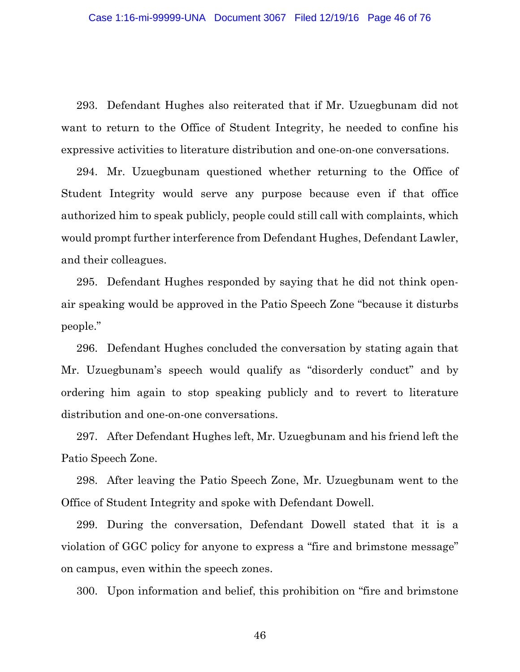293. Defendant Hughes also reiterated that if Mr. Uzuegbunam did not want to return to the Office of Student Integrity, he needed to confine his expressive activities to literature distribution and one-on-one conversations.

294. Mr. Uzuegbunam questioned whether returning to the Office of Student Integrity would serve any purpose because even if that office authorized him to speak publicly, people could still call with complaints, which would prompt further interference from Defendant Hughes, Defendant Lawler, and their colleagues.

295. Defendant Hughes responded by saying that he did not think openair speaking would be approved in the Patio Speech Zone "because it disturbs people."

296. Defendant Hughes concluded the conversation by stating again that Mr. Uzuegbunam's speech would qualify as "disorderly conduct" and by ordering him again to stop speaking publicly and to revert to literature distribution and one-on-one conversations.

297. After Defendant Hughes left, Mr. Uzuegbunam and his friend left the Patio Speech Zone.

298. After leaving the Patio Speech Zone, Mr. Uzuegbunam went to the Office of Student Integrity and spoke with Defendant Dowell.

299. During the conversation, Defendant Dowell stated that it is a violation of GGC policy for anyone to express a "fire and brimstone message" on campus, even within the speech zones.

300. Upon information and belief, this prohibition on "fire and brimstone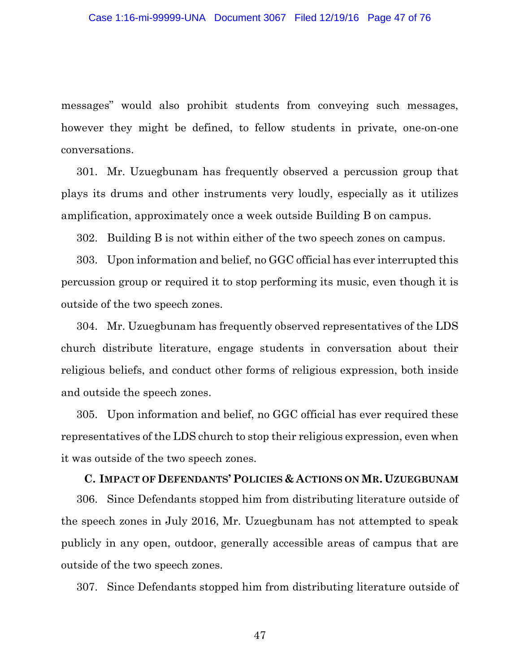messages" would also prohibit students from conveying such messages, however they might be defined, to fellow students in private, one-on-one conversations.

301. Mr. Uzuegbunam has frequently observed a percussion group that plays its drums and other instruments very loudly, especially as it utilizes amplification, approximately once a week outside Building B on campus.

302. Building B is not within either of the two speech zones on campus.

303. Upon information and belief, no GGC official has ever interrupted this percussion group or required it to stop performing its music, even though it is outside of the two speech zones.

304. Mr. Uzuegbunam has frequently observed representatives of the LDS church distribute literature, engage students in conversation about their religious beliefs, and conduct other forms of religious expression, both inside and outside the speech zones.

305. Upon information and belief, no GGC official has ever required these representatives of the LDS church to stop their religious expression, even when it was outside of the two speech zones.

#### **C. IMPACT OF DEFENDANTS' POLICIES & ACTIONS ON MR. UZUEGBUNAM**

306. Since Defendants stopped him from distributing literature outside of the speech zones in July 2016, Mr. Uzuegbunam has not attempted to speak publicly in any open, outdoor, generally accessible areas of campus that are outside of the two speech zones.

307. Since Defendants stopped him from distributing literature outside of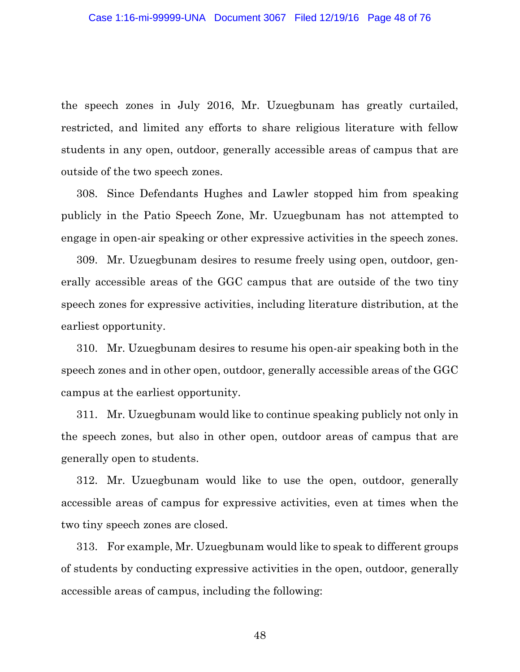the speech zones in July 2016, Mr. Uzuegbunam has greatly curtailed, restricted, and limited any efforts to share religious literature with fellow students in any open, outdoor, generally accessible areas of campus that are outside of the two speech zones.

308. Since Defendants Hughes and Lawler stopped him from speaking publicly in the Patio Speech Zone, Mr. Uzuegbunam has not attempted to engage in open-air speaking or other expressive activities in the speech zones.

309. Mr. Uzuegbunam desires to resume freely using open, outdoor, generally accessible areas of the GGC campus that are outside of the two tiny speech zones for expressive activities, including literature distribution, at the earliest opportunity.

310. Mr. Uzuegbunam desires to resume his open-air speaking both in the speech zones and in other open, outdoor, generally accessible areas of the GGC campus at the earliest opportunity.

311. Mr. Uzuegbunam would like to continue speaking publicly not only in the speech zones, but also in other open, outdoor areas of campus that are generally open to students.

312. Mr. Uzuegbunam would like to use the open, outdoor, generally accessible areas of campus for expressive activities, even at times when the two tiny speech zones are closed.

313. For example, Mr. Uzuegbunam would like to speak to different groups of students by conducting expressive activities in the open, outdoor, generally accessible areas of campus, including the following: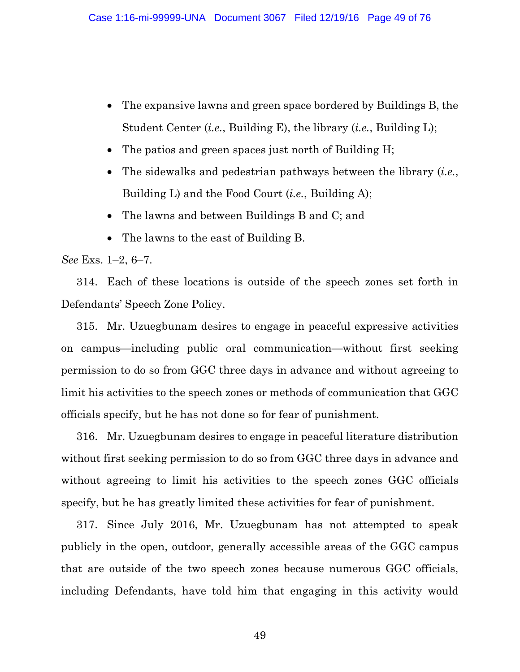- The expansive lawns and green space bordered by Buildings B, the Student Center (*i.e.*, Building E), the library (*i.e.*, Building L);
- The patios and green spaces just north of Building H;
- The sidewalks and pedestrian pathways between the library (*i.e.*, Building L) and the Food Court (*i.e.*, Building A);
- The lawns and between Buildings B and C; and
- The lawns to the east of Building B.

*See* Exs. 1–2, 6–7.

314. Each of these locations is outside of the speech zones set forth in Defendants' Speech Zone Policy.

315. Mr. Uzuegbunam desires to engage in peaceful expressive activities on campus—including public oral communication—without first seeking permission to do so from GGC three days in advance and without agreeing to limit his activities to the speech zones or methods of communication that GGC officials specify, but he has not done so for fear of punishment.

316. Mr. Uzuegbunam desires to engage in peaceful literature distribution without first seeking permission to do so from GGC three days in advance and without agreeing to limit his activities to the speech zones GGC officials specify, but he has greatly limited these activities for fear of punishment.

317. Since July 2016, Mr. Uzuegbunam has not attempted to speak publicly in the open, outdoor, generally accessible areas of the GGC campus that are outside of the two speech zones because numerous GGC officials, including Defendants, have told him that engaging in this activity would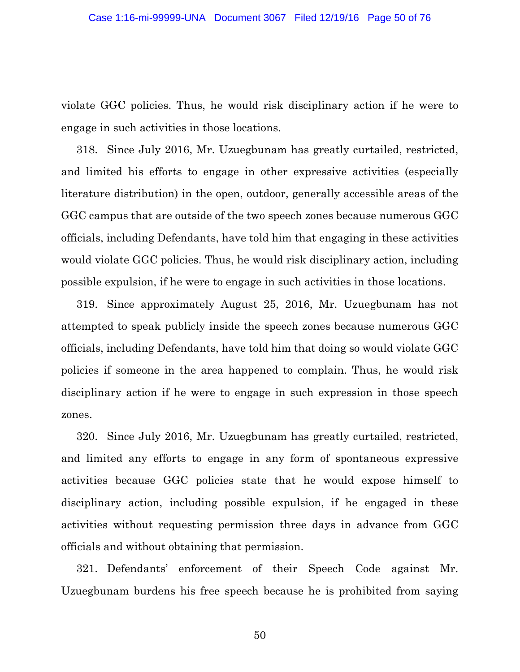violate GGC policies. Thus, he would risk disciplinary action if he were to engage in such activities in those locations.

318. Since July 2016, Mr. Uzuegbunam has greatly curtailed, restricted, and limited his efforts to engage in other expressive activities (especially literature distribution) in the open, outdoor, generally accessible areas of the GGC campus that are outside of the two speech zones because numerous GGC officials, including Defendants, have told him that engaging in these activities would violate GGC policies. Thus, he would risk disciplinary action, including possible expulsion, if he were to engage in such activities in those locations.

319. Since approximately August 25, 2016, Mr. Uzuegbunam has not attempted to speak publicly inside the speech zones because numerous GGC officials, including Defendants, have told him that doing so would violate GGC policies if someone in the area happened to complain. Thus, he would risk disciplinary action if he were to engage in such expression in those speech zones.

320. Since July 2016, Mr. Uzuegbunam has greatly curtailed, restricted, and limited any efforts to engage in any form of spontaneous expressive activities because GGC policies state that he would expose himself to disciplinary action, including possible expulsion, if he engaged in these activities without requesting permission three days in advance from GGC officials and without obtaining that permission.

321. Defendants' enforcement of their Speech Code against Mr. Uzuegbunam burdens his free speech because he is prohibited from saying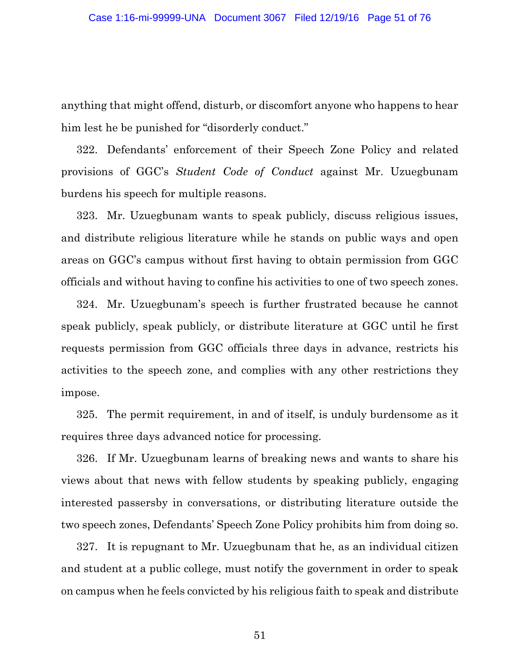anything that might offend, disturb, or discomfort anyone who happens to hear him lest he be punished for "disorderly conduct."

322. Defendants' enforcement of their Speech Zone Policy and related provisions of GGC's *Student Code of Conduct* against Mr. Uzuegbunam burdens his speech for multiple reasons.

323. Mr. Uzuegbunam wants to speak publicly, discuss religious issues, and distribute religious literature while he stands on public ways and open areas on GGC's campus without first having to obtain permission from GGC officials and without having to confine his activities to one of two speech zones.

324. Mr. Uzuegbunam's speech is further frustrated because he cannot speak publicly, speak publicly, or distribute literature at GGC until he first requests permission from GGC officials three days in advance, restricts his activities to the speech zone, and complies with any other restrictions they impose.

325. The permit requirement, in and of itself, is unduly burdensome as it requires three days advanced notice for processing.

326. If Mr. Uzuegbunam learns of breaking news and wants to share his views about that news with fellow students by speaking publicly, engaging interested passersby in conversations, or distributing literature outside the two speech zones, Defendants' Speech Zone Policy prohibits him from doing so.

327. It is repugnant to Mr. Uzuegbunam that he, as an individual citizen and student at a public college, must notify the government in order to speak on campus when he feels convicted by his religious faith to speak and distribute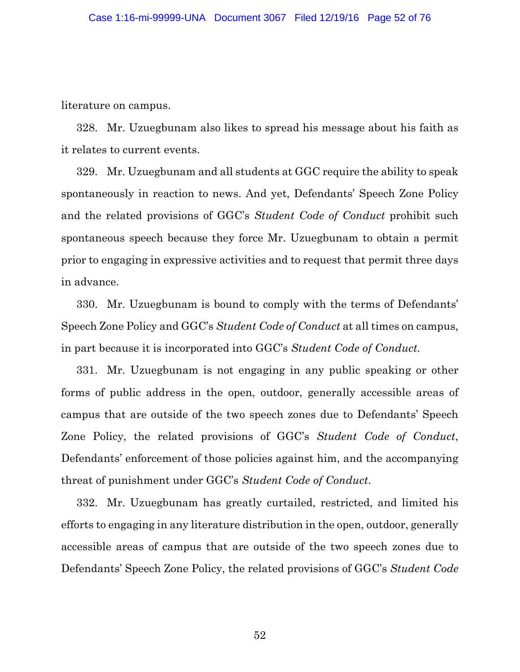literature on campus.

328. Mr. Uzuegbunam also likes to spread his message about his faith as it relates to current events.

329. Mr. Uzuegbunam and all students at GGC require the ability to speak spontaneously in reaction to news. And yet, Defendants' Speech Zone Policy and the related provisions of GGC's *Student Code of Conduct* prohibit such spontaneous speech because they force Mr. Uzuegbunam to obtain a permit prior to engaging in expressive activities and to request that permit three days in advance.

330. Mr. Uzuegbunam is bound to comply with the terms of Defendants' Speech Zone Policy and GGC's *Student Code of Conduct* at all times on campus, in part because it is incorporated into GGC's *Student Code of Conduct*.

331. Mr. Uzuegbunam is not engaging in any public speaking or other forms of public address in the open, outdoor, generally accessible areas of campus that are outside of the two speech zones due to Defendants' Speech Zone Policy, the related provisions of GGC's *Student Code of Conduct*, Defendants' enforcement of those policies against him, and the accompanying threat of punishment under GGC's *Student Code of Conduct*.

332. Mr. Uzuegbunam has greatly curtailed, restricted, and limited his efforts to engaging in any literature distribution in the open, outdoor, generally accessible areas of campus that are outside of the two speech zones due to Defendants' Speech Zone Policy, the related provisions of GGC's *Student Code*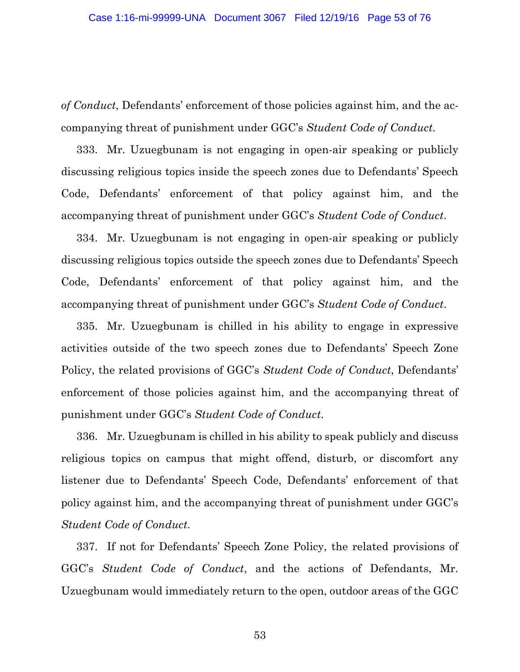*of Conduct*, Defendants' enforcement of those policies against him, and the accompanying threat of punishment under GGC's *Student Code of Conduct*.

333. Mr. Uzuegbunam is not engaging in open-air speaking or publicly discussing religious topics inside the speech zones due to Defendants' Speech Code, Defendants' enforcement of that policy against him, and the accompanying threat of punishment under GGC's *Student Code of Conduct*.

334. Mr. Uzuegbunam is not engaging in open-air speaking or publicly discussing religious topics outside the speech zones due to Defendants' Speech Code, Defendants' enforcement of that policy against him, and the accompanying threat of punishment under GGC's *Student Code of Conduct*.

335. Mr. Uzuegbunam is chilled in his ability to engage in expressive activities outside of the two speech zones due to Defendants' Speech Zone Policy, the related provisions of GGC's *Student Code of Conduct*, Defendants' enforcement of those policies against him, and the accompanying threat of punishment under GGC's *Student Code of Conduct*.

336. Mr. Uzuegbunam is chilled in his ability to speak publicly and discuss religious topics on campus that might offend, disturb, or discomfort any listener due to Defendants' Speech Code, Defendants' enforcement of that policy against him, and the accompanying threat of punishment under GGC's *Student Code of Conduct*.

337. If not for Defendants' Speech Zone Policy, the related provisions of GGC's *Student Code of Conduct*, and the actions of Defendants, Mr. Uzuegbunam would immediately return to the open, outdoor areas of the GGC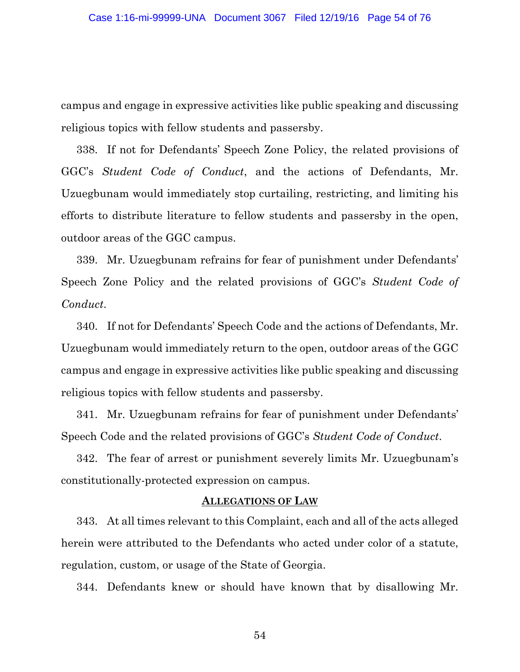campus and engage in expressive activities like public speaking and discussing religious topics with fellow students and passersby.

338. If not for Defendants' Speech Zone Policy, the related provisions of GGC's *Student Code of Conduct*, and the actions of Defendants, Mr. Uzuegbunam would immediately stop curtailing, restricting, and limiting his efforts to distribute literature to fellow students and passersby in the open, outdoor areas of the GGC campus.

339. Mr. Uzuegbunam refrains for fear of punishment under Defendants' Speech Zone Policy and the related provisions of GGC's *Student Code of Conduct*.

340. If not for Defendants' Speech Code and the actions of Defendants, Mr. Uzuegbunam would immediately return to the open, outdoor areas of the GGC campus and engage in expressive activities like public speaking and discussing religious topics with fellow students and passersby.

341. Mr. Uzuegbunam refrains for fear of punishment under Defendants' Speech Code and the related provisions of GGC's *Student Code of Conduct*.

342. The fear of arrest or punishment severely limits Mr. Uzuegbunam's constitutionally-protected expression on campus.

#### **ALLEGATIONS OF LAW**

343. At all times relevant to this Complaint, each and all of the acts alleged herein were attributed to the Defendants who acted under color of a statute, regulation, custom, or usage of the State of Georgia.

344. Defendants knew or should have known that by disallowing Mr.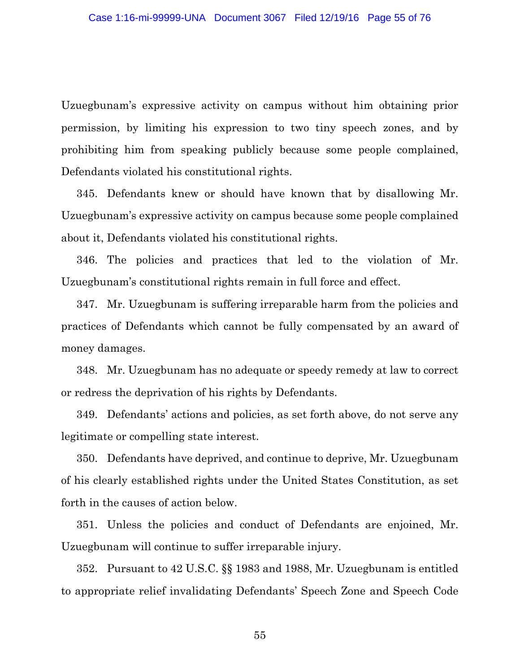Uzuegbunam's expressive activity on campus without him obtaining prior permission, by limiting his expression to two tiny speech zones, and by prohibiting him from speaking publicly because some people complained, Defendants violated his constitutional rights.

345. Defendants knew or should have known that by disallowing Mr. Uzuegbunam's expressive activity on campus because some people complained about it, Defendants violated his constitutional rights.

346. The policies and practices that led to the violation of Mr. Uzuegbunam's constitutional rights remain in full force and effect.

347. Mr. Uzuegbunam is suffering irreparable harm from the policies and practices of Defendants which cannot be fully compensated by an award of money damages.

348. Mr. Uzuegbunam has no adequate or speedy remedy at law to correct or redress the deprivation of his rights by Defendants.

349. Defendants' actions and policies, as set forth above, do not serve any legitimate or compelling state interest.

350. Defendants have deprived, and continue to deprive, Mr. Uzuegbunam of his clearly established rights under the United States Constitution, as set forth in the causes of action below.

351. Unless the policies and conduct of Defendants are enjoined, Mr. Uzuegbunam will continue to suffer irreparable injury.

352. Pursuant to 42 U.S.C. §§ 1983 and 1988, Mr. Uzuegbunam is entitled to appropriate relief invalidating Defendants' Speech Zone and Speech Code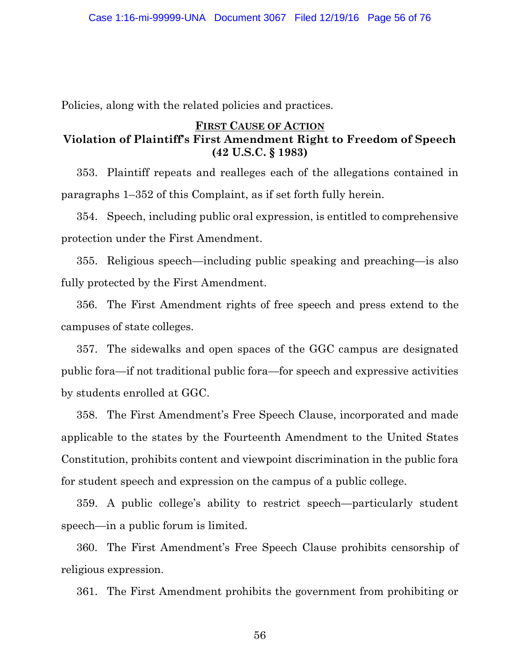Policies, along with the related policies and practices*.*

## **FIRST CAUSE OF ACTION Violation of Plaintiff's First Amendment Right to Freedom of Speech (42 U.S.C. § 1983)**

353. Plaintiff repeats and realleges each of the allegations contained in paragraphs 1–352 of this Complaint, as if set forth fully herein.

354. Speech, including public oral expression, is entitled to comprehensive protection under the First Amendment.

355. Religious speech—including public speaking and preaching—is also fully protected by the First Amendment.

356. The First Amendment rights of free speech and press extend to the campuses of state colleges.

357. The sidewalks and open spaces of the GGC campus are designated public fora—if not traditional public fora—for speech and expressive activities by students enrolled at GGC.

358. The First Amendment's Free Speech Clause, incorporated and made applicable to the states by the Fourteenth Amendment to the United States Constitution, prohibits content and viewpoint discrimination in the public fora for student speech and expression on the campus of a public college.

359. A public college's ability to restrict speech—particularly student speech—in a public forum is limited.

360. The First Amendment's Free Speech Clause prohibits censorship of religious expression.

361. The First Amendment prohibits the government from prohibiting or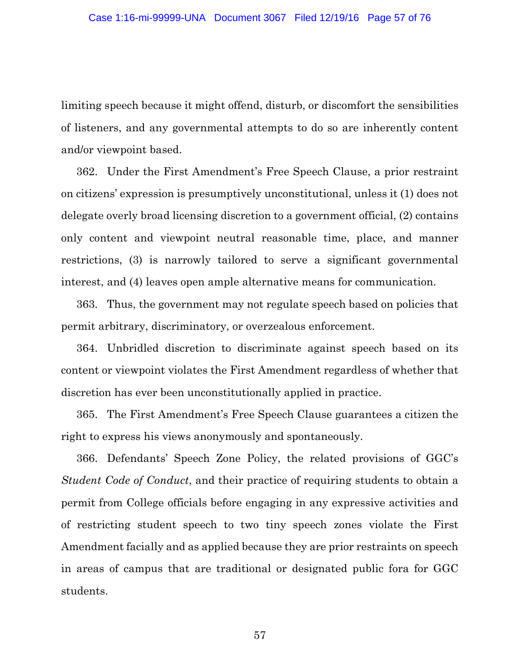limiting speech because it might offend, disturb, or discomfort the sensibilities of listeners, and any governmental attempts to do so are inherently content and/or viewpoint based.

362. Under the First Amendment's Free Speech Clause, a prior restraint on citizens' expression is presumptively unconstitutional, unless it (1) does not delegate overly broad licensing discretion to a government official, (2) contains only content and viewpoint neutral reasonable time, place, and manner restrictions, (3) is narrowly tailored to serve a significant governmental interest, and (4) leaves open ample alternative means for communication.

363. Thus, the government may not regulate speech based on policies that permit arbitrary, discriminatory, or overzealous enforcement.

364. Unbridled discretion to discriminate against speech based on its content or viewpoint violates the First Amendment regardless of whether that discretion has ever been unconstitutionally applied in practice.

365. The First Amendment's Free Speech Clause guarantees a citizen the right to express his views anonymously and spontaneously.

366. Defendants' Speech Zone Policy, the related provisions of GGC's *Student Code of Conduct*, and their practice of requiring students to obtain a permit from College officials before engaging in any expressive activities and of restricting student speech to two tiny speech zones violate the First Amendment facially and as applied because they are prior restraints on speech in areas of campus that are traditional or designated public fora for GGC students.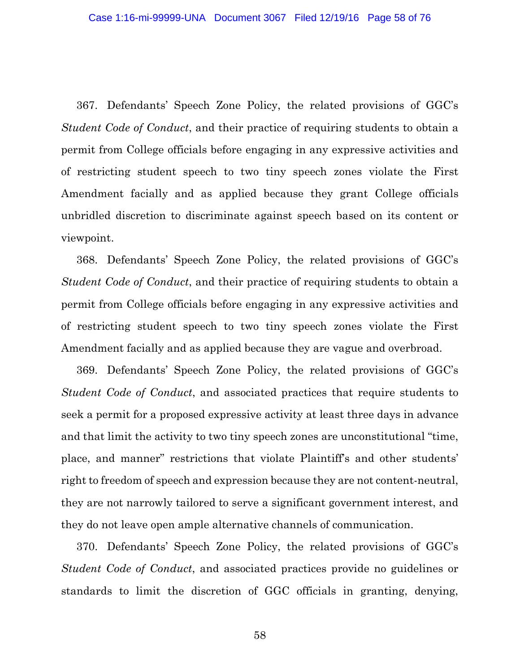367. Defendants' Speech Zone Policy, the related provisions of GGC's *Student Code of Conduct*, and their practice of requiring students to obtain a permit from College officials before engaging in any expressive activities and of restricting student speech to two tiny speech zones violate the First Amendment facially and as applied because they grant College officials unbridled discretion to discriminate against speech based on its content or viewpoint.

368. Defendants' Speech Zone Policy, the related provisions of GGC's *Student Code of Conduct*, and their practice of requiring students to obtain a permit from College officials before engaging in any expressive activities and of restricting student speech to two tiny speech zones violate the First Amendment facially and as applied because they are vague and overbroad.

369. Defendants' Speech Zone Policy, the related provisions of GGC's *Student Code of Conduct*, and associated practices that require students to seek a permit for a proposed expressive activity at least three days in advance and that limit the activity to two tiny speech zones are unconstitutional "time, place, and manner" restrictions that violate Plaintiff's and other students' right to freedom of speech and expression because they are not content-neutral, they are not narrowly tailored to serve a significant government interest, and they do not leave open ample alternative channels of communication.

370. Defendants' Speech Zone Policy, the related provisions of GGC's *Student Code of Conduct*, and associated practices provide no guidelines or standards to limit the discretion of GGC officials in granting, denying,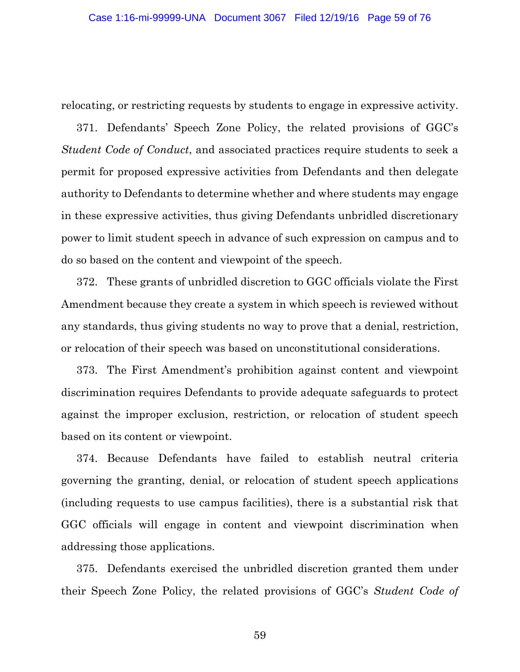relocating, or restricting requests by students to engage in expressive activity.

371. Defendants' Speech Zone Policy, the related provisions of GGC's *Student Code of Conduct*, and associated practices require students to seek a permit for proposed expressive activities from Defendants and then delegate authority to Defendants to determine whether and where students may engage in these expressive activities, thus giving Defendants unbridled discretionary power to limit student speech in advance of such expression on campus and to do so based on the content and viewpoint of the speech.

372. These grants of unbridled discretion to GGC officials violate the First Amendment because they create a system in which speech is reviewed without any standards, thus giving students no way to prove that a denial, restriction, or relocation of their speech was based on unconstitutional considerations.

373. The First Amendment's prohibition against content and viewpoint discrimination requires Defendants to provide adequate safeguards to protect against the improper exclusion, restriction, or relocation of student speech based on its content or viewpoint.

374. Because Defendants have failed to establish neutral criteria governing the granting, denial, or relocation of student speech applications (including requests to use campus facilities), there is a substantial risk that GGC officials will engage in content and viewpoint discrimination when addressing those applications.

375. Defendants exercised the unbridled discretion granted them under their Speech Zone Policy, the related provisions of GGC's *Student Code of*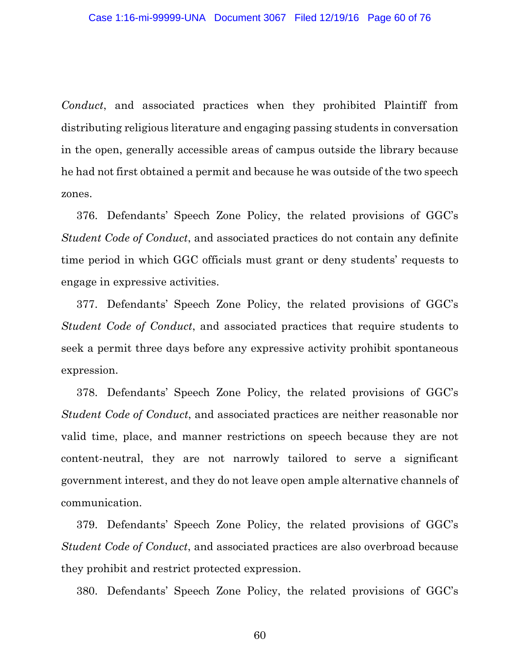*Conduct*, and associated practices when they prohibited Plaintiff from distributing religious literature and engaging passing students in conversation in the open, generally accessible areas of campus outside the library because he had not first obtained a permit and because he was outside of the two speech zones.

376. Defendants' Speech Zone Policy, the related provisions of GGC's *Student Code of Conduct*, and associated practices do not contain any definite time period in which GGC officials must grant or deny students' requests to engage in expressive activities.

377. Defendants' Speech Zone Policy, the related provisions of GGC's *Student Code of Conduct*, and associated practices that require students to seek a permit three days before any expressive activity prohibit spontaneous expression.

378. Defendants' Speech Zone Policy, the related provisions of GGC's *Student Code of Conduct*, and associated practices are neither reasonable nor valid time, place, and manner restrictions on speech because they are not content-neutral, they are not narrowly tailored to serve a significant government interest, and they do not leave open ample alternative channels of communication.

379. Defendants' Speech Zone Policy, the related provisions of GGC's *Student Code of Conduct*, and associated practices are also overbroad because they prohibit and restrict protected expression.

380. Defendants' Speech Zone Policy, the related provisions of GGC's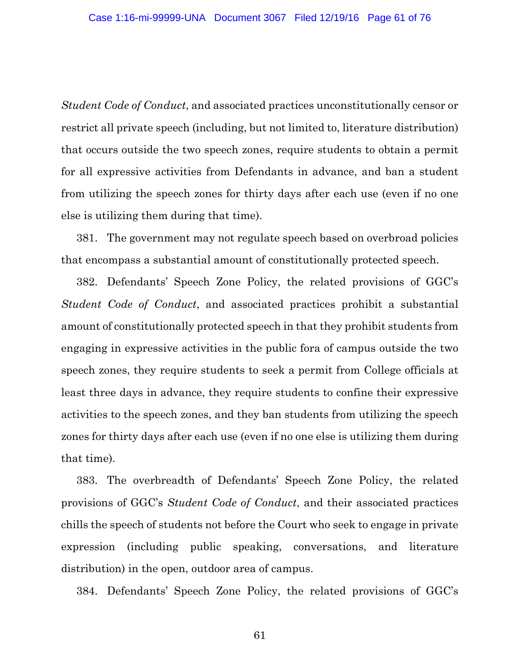*Student Code of Conduct*, and associated practices unconstitutionally censor or restrict all private speech (including, but not limited to, literature distribution) that occurs outside the two speech zones, require students to obtain a permit for all expressive activities from Defendants in advance, and ban a student from utilizing the speech zones for thirty days after each use (even if no one else is utilizing them during that time).

381. The government may not regulate speech based on overbroad policies that encompass a substantial amount of constitutionally protected speech.

382. Defendants' Speech Zone Policy, the related provisions of GGC's *Student Code of Conduct*, and associated practices prohibit a substantial amount of constitutionally protected speech in that they prohibit students from engaging in expressive activities in the public fora of campus outside the two speech zones, they require students to seek a permit from College officials at least three days in advance, they require students to confine their expressive activities to the speech zones, and they ban students from utilizing the speech zones for thirty days after each use (even if no one else is utilizing them during that time).

383. The overbreadth of Defendants' Speech Zone Policy, the related provisions of GGC's *Student Code of Conduct*, and their associated practices chills the speech of students not before the Court who seek to engage in private expression (including public speaking, conversations, and literature distribution) in the open, outdoor area of campus.

384. Defendants' Speech Zone Policy, the related provisions of GGC's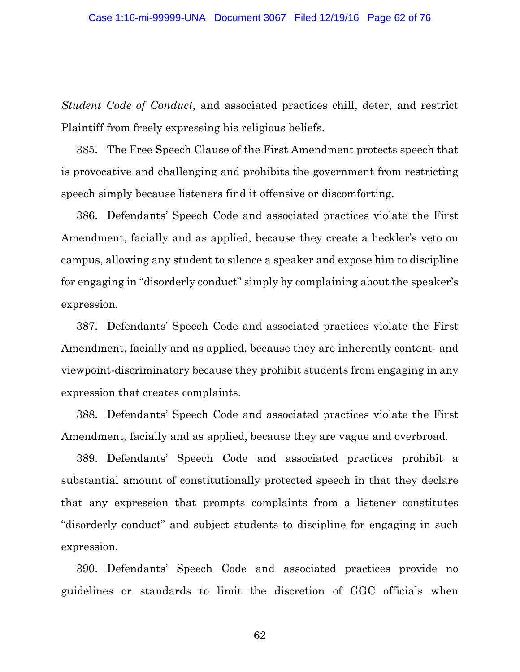*Student Code of Conduct*, and associated practices chill, deter, and restrict Plaintiff from freely expressing his religious beliefs.

385. The Free Speech Clause of the First Amendment protects speech that is provocative and challenging and prohibits the government from restricting speech simply because listeners find it offensive or discomforting.

386. Defendants' Speech Code and associated practices violate the First Amendment, facially and as applied, because they create a heckler's veto on campus, allowing any student to silence a speaker and expose him to discipline for engaging in "disorderly conduct" simply by complaining about the speaker's expression.

387. Defendants' Speech Code and associated practices violate the First Amendment, facially and as applied, because they are inherently content- and viewpoint-discriminatory because they prohibit students from engaging in any expression that creates complaints.

388. Defendants' Speech Code and associated practices violate the First Amendment, facially and as applied, because they are vague and overbroad.

389. Defendants' Speech Code and associated practices prohibit a substantial amount of constitutionally protected speech in that they declare that any expression that prompts complaints from a listener constitutes "disorderly conduct" and subject students to discipline for engaging in such expression.

390. Defendants' Speech Code and associated practices provide no guidelines or standards to limit the discretion of GGC officials when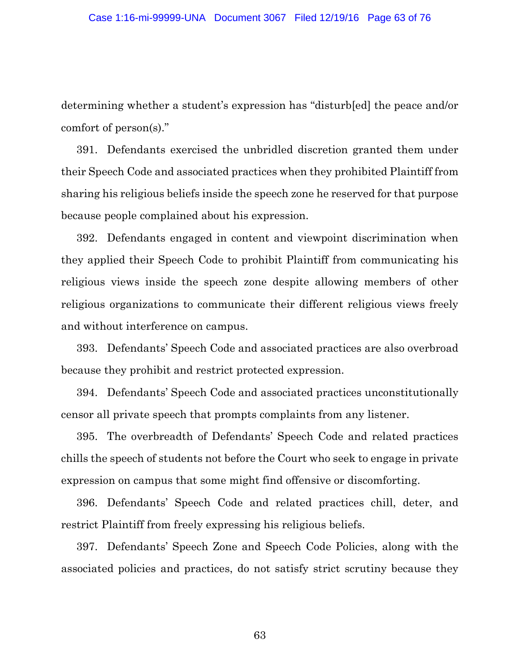determining whether a student's expression has "disturb[ed] the peace and/or comfort of person(s)."

391. Defendants exercised the unbridled discretion granted them under their Speech Code and associated practices when they prohibited Plaintiff from sharing his religious beliefs inside the speech zone he reserved for that purpose because people complained about his expression.

392. Defendants engaged in content and viewpoint discrimination when they applied their Speech Code to prohibit Plaintiff from communicating his religious views inside the speech zone despite allowing members of other religious organizations to communicate their different religious views freely and without interference on campus.

393. Defendants' Speech Code and associated practices are also overbroad because they prohibit and restrict protected expression.

394. Defendants' Speech Code and associated practices unconstitutionally censor all private speech that prompts complaints from any listener.

395. The overbreadth of Defendants' Speech Code and related practices chills the speech of students not before the Court who seek to engage in private expression on campus that some might find offensive or discomforting.

396. Defendants' Speech Code and related practices chill, deter, and restrict Plaintiff from freely expressing his religious beliefs.

397. Defendants' Speech Zone and Speech Code Policies, along with the associated policies and practices, do not satisfy strict scrutiny because they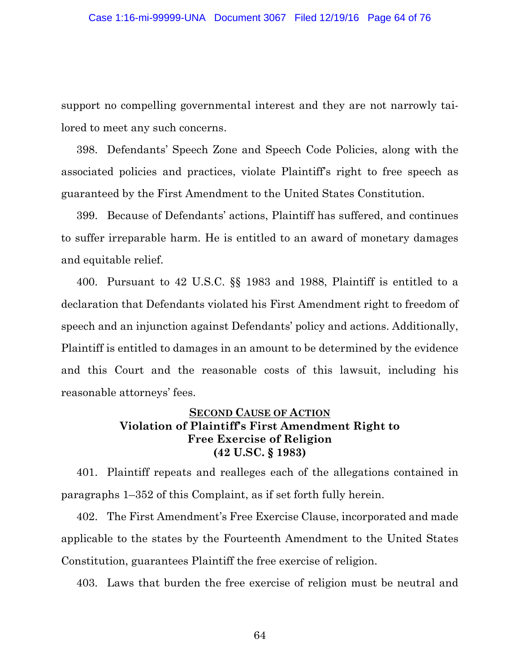support no compelling governmental interest and they are not narrowly tailored to meet any such concerns.

398. Defendants' Speech Zone and Speech Code Policies, along with the associated policies and practices, violate Plaintiff's right to free speech as guaranteed by the First Amendment to the United States Constitution.

399. Because of Defendants' actions, Plaintiff has suffered, and continues to suffer irreparable harm. He is entitled to an award of monetary damages and equitable relief.

400. Pursuant to 42 U.S.C. §§ 1983 and 1988, Plaintiff is entitled to a declaration that Defendants violated his First Amendment right to freedom of speech and an injunction against Defendants' policy and actions. Additionally, Plaintiff is entitled to damages in an amount to be determined by the evidence and this Court and the reasonable costs of this lawsuit, including his reasonable attorneys' fees.

### **SECOND CAUSE OF ACTION Violation of Plaintiff's First Amendment Right to Free Exercise of Religion (42 U.SC. § 1983)**

401. Plaintiff repeats and realleges each of the allegations contained in paragraphs 1–352 of this Complaint, as if set forth fully herein.

402. The First Amendment's Free Exercise Clause, incorporated and made applicable to the states by the Fourteenth Amendment to the United States Constitution, guarantees Plaintiff the free exercise of religion.

403. Laws that burden the free exercise of religion must be neutral and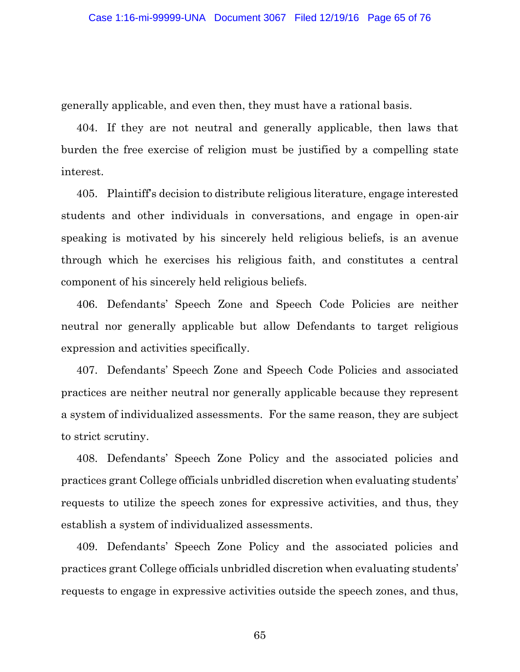generally applicable, and even then, they must have a rational basis.

404. If they are not neutral and generally applicable, then laws that burden the free exercise of religion must be justified by a compelling state interest.

405. Plaintiff's decision to distribute religious literature, engage interested students and other individuals in conversations, and engage in open-air speaking is motivated by his sincerely held religious beliefs, is an avenue through which he exercises his religious faith, and constitutes a central component of his sincerely held religious beliefs.

406. Defendants' Speech Zone and Speech Code Policies are neither neutral nor generally applicable but allow Defendants to target religious expression and activities specifically.

407. Defendants' Speech Zone and Speech Code Policies and associated practices are neither neutral nor generally applicable because they represent a system of individualized assessments. For the same reason, they are subject to strict scrutiny.

408. Defendants' Speech Zone Policy and the associated policies and practices grant College officials unbridled discretion when evaluating students' requests to utilize the speech zones for expressive activities, and thus, they establish a system of individualized assessments.

409. Defendants' Speech Zone Policy and the associated policies and practices grant College officials unbridled discretion when evaluating students' requests to engage in expressive activities outside the speech zones, and thus,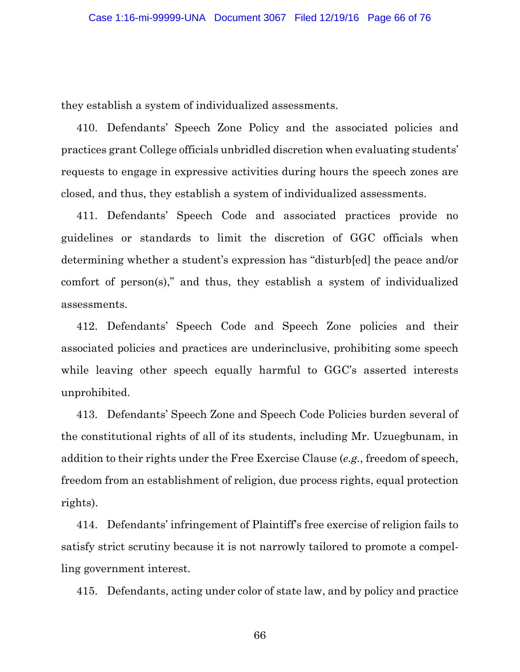they establish a system of individualized assessments.

410. Defendants' Speech Zone Policy and the associated policies and practices grant College officials unbridled discretion when evaluating students' requests to engage in expressive activities during hours the speech zones are closed, and thus, they establish a system of individualized assessments.

411. Defendants' Speech Code and associated practices provide no guidelines or standards to limit the discretion of GGC officials when determining whether a student's expression has "disturb[ed] the peace and/or comfort of person(s)," and thus, they establish a system of individualized assessments.

412. Defendants' Speech Code and Speech Zone policies and their associated policies and practices are underinclusive, prohibiting some speech while leaving other speech equally harmful to GGC's asserted interests unprohibited.

413. Defendants' Speech Zone and Speech Code Policies burden several of the constitutional rights of all of its students, including Mr. Uzuegbunam, in addition to their rights under the Free Exercise Clause (*e.g.*, freedom of speech, freedom from an establishment of religion, due process rights, equal protection rights).

414. Defendants' infringement of Plaintiff's free exercise of religion fails to satisfy strict scrutiny because it is not narrowly tailored to promote a compelling government interest.

415. Defendants, acting under color of state law, and by policy and practice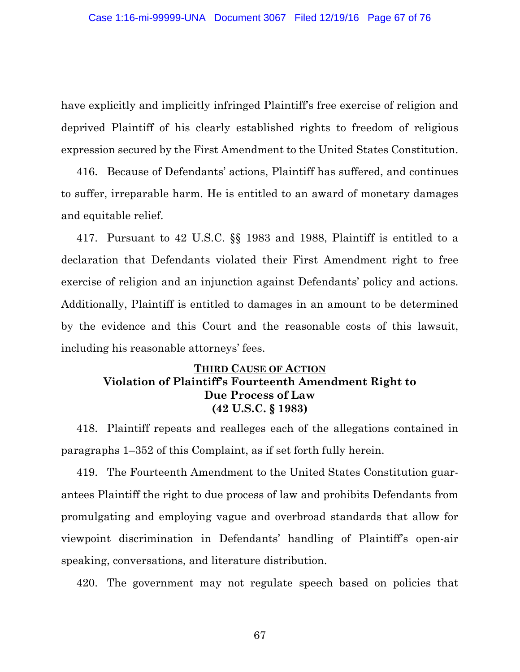have explicitly and implicitly infringed Plaintiff's free exercise of religion and deprived Plaintiff of his clearly established rights to freedom of religious expression secured by the First Amendment to the United States Constitution.

416. Because of Defendants' actions, Plaintiff has suffered, and continues to suffer, irreparable harm. He is entitled to an award of monetary damages and equitable relief.

417. Pursuant to 42 U.S.C. §§ 1983 and 1988, Plaintiff is entitled to a declaration that Defendants violated their First Amendment right to free exercise of religion and an injunction against Defendants' policy and actions. Additionally, Plaintiff is entitled to damages in an amount to be determined by the evidence and this Court and the reasonable costs of this lawsuit, including his reasonable attorneys' fees.

# **THIRD CAUSE OF ACTION Violation of Plaintiff's Fourteenth Amendment Right to Due Process of Law (42 U.S.C. § 1983)**

418. Plaintiff repeats and realleges each of the allegations contained in paragraphs 1–352 of this Complaint, as if set forth fully herein.

419. The Fourteenth Amendment to the United States Constitution guarantees Plaintiff the right to due process of law and prohibits Defendants from promulgating and employing vague and overbroad standards that allow for viewpoint discrimination in Defendants' handling of Plaintiff's open-air speaking, conversations, and literature distribution.

420. The government may not regulate speech based on policies that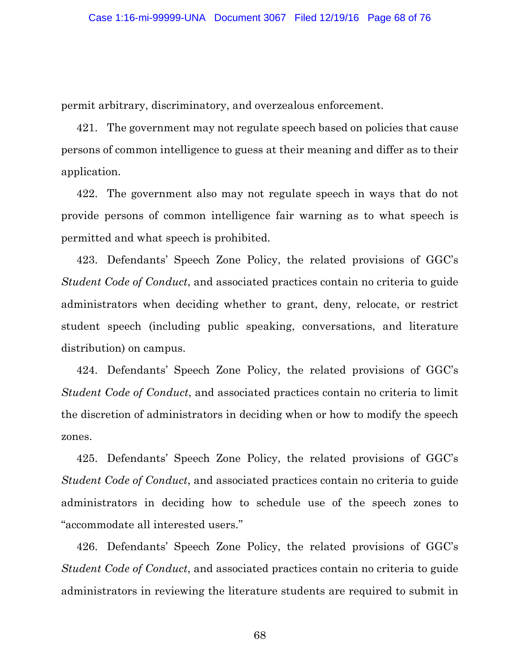permit arbitrary, discriminatory, and overzealous enforcement.

421. The government may not regulate speech based on policies that cause persons of common intelligence to guess at their meaning and differ as to their application.

422. The government also may not regulate speech in ways that do not provide persons of common intelligence fair warning as to what speech is permitted and what speech is prohibited.

423. Defendants' Speech Zone Policy, the related provisions of GGC's *Student Code of Conduct*, and associated practices contain no criteria to guide administrators when deciding whether to grant, deny, relocate, or restrict student speech (including public speaking, conversations, and literature distribution) on campus.

424. Defendants' Speech Zone Policy, the related provisions of GGC's *Student Code of Conduct*, and associated practices contain no criteria to limit the discretion of administrators in deciding when or how to modify the speech zones.

425. Defendants' Speech Zone Policy, the related provisions of GGC's *Student Code of Conduct*, and associated practices contain no criteria to guide administrators in deciding how to schedule use of the speech zones to "accommodate all interested users."

426. Defendants' Speech Zone Policy, the related provisions of GGC's *Student Code of Conduct*, and associated practices contain no criteria to guide administrators in reviewing the literature students are required to submit in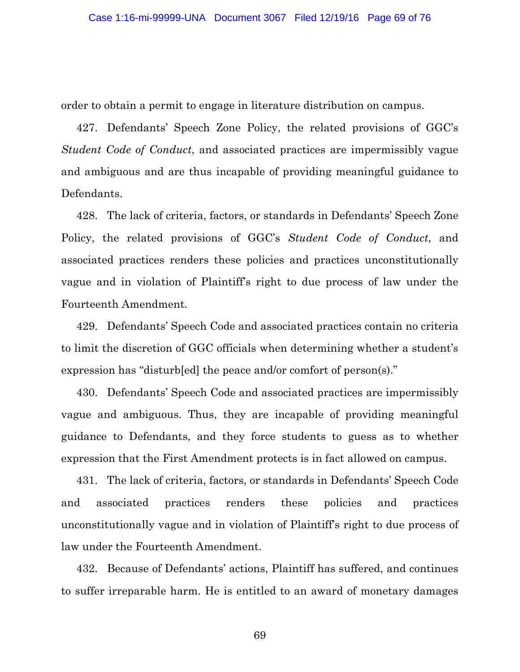order to obtain a permit to engage in literature distribution on campus.

427. Defendants' Speech Zone Policy, the related provisions of GGC's *Student Code of Conduct*, and associated practices are impermissibly vague and ambiguous and are thus incapable of providing meaningful guidance to Defendants.

428. The lack of criteria, factors, or standards in Defendants' Speech Zone Policy, the related provisions of GGC's *Student Code of Conduct*, and associated practices renders these policies and practices unconstitutionally vague and in violation of Plaintiff's right to due process of law under the Fourteenth Amendment.

429. Defendants' Speech Code and associated practices contain no criteria to limit the discretion of GGC officials when determining whether a student's expression has "disturb[ed] the peace and/or comfort of person(s)."

430. Defendants' Speech Code and associated practices are impermissibly vague and ambiguous. Thus, they are incapable of providing meaningful guidance to Defendants, and they force students to guess as to whether expression that the First Amendment protects is in fact allowed on campus.

431. The lack of criteria, factors, or standards in Defendants' Speech Code and associated practices renders these policies and practices unconstitutionally vague and in violation of Plaintiff's right to due process of law under the Fourteenth Amendment.

432. Because of Defendants' actions, Plaintiff has suffered, and continues to suffer irreparable harm. He is entitled to an award of monetary damages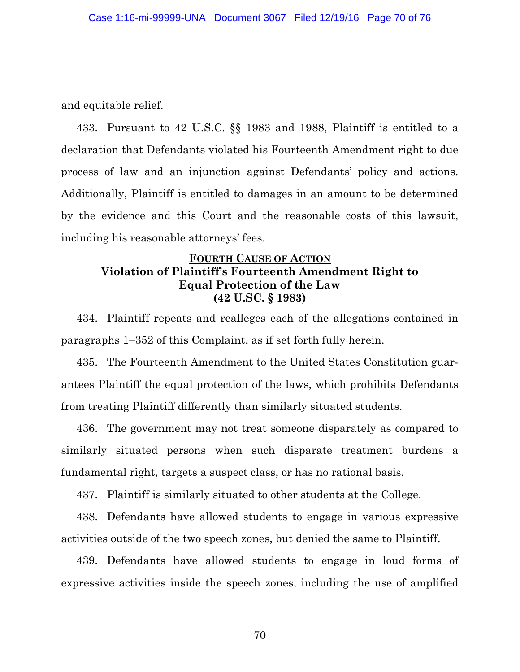and equitable relief.

433. Pursuant to 42 U.S.C. §§ 1983 and 1988, Plaintiff is entitled to a declaration that Defendants violated his Fourteenth Amendment right to due process of law and an injunction against Defendants' policy and actions. Additionally, Plaintiff is entitled to damages in an amount to be determined by the evidence and this Court and the reasonable costs of this lawsuit, including his reasonable attorneys' fees.

## **FOURTH CAUSE OF ACTION Violation of Plaintiff's Fourteenth Amendment Right to Equal Protection of the Law (42 U.SC. § 1983)**

434. Plaintiff repeats and realleges each of the allegations contained in paragraphs 1–352 of this Complaint, as if set forth fully herein.

435. The Fourteenth Amendment to the United States Constitution guarantees Plaintiff the equal protection of the laws, which prohibits Defendants from treating Plaintiff differently than similarly situated students.

436. The government may not treat someone disparately as compared to similarly situated persons when such disparate treatment burdens a fundamental right, targets a suspect class, or has no rational basis.

437. Plaintiff is similarly situated to other students at the College.

438. Defendants have allowed students to engage in various expressive activities outside of the two speech zones, but denied the same to Plaintiff.

439. Defendants have allowed students to engage in loud forms of expressive activities inside the speech zones, including the use of amplified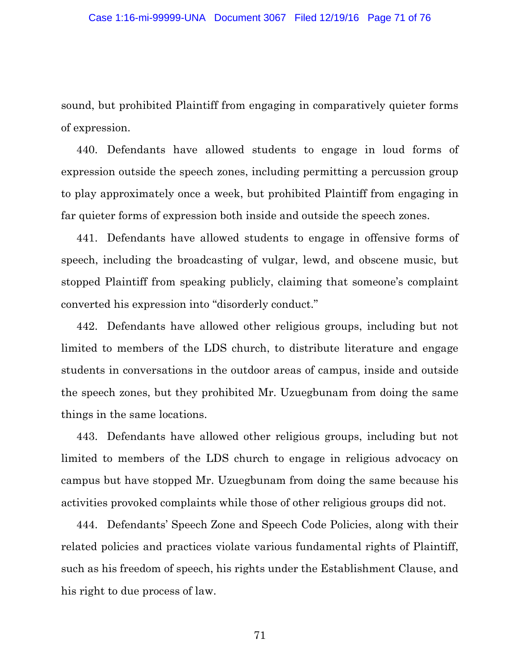sound, but prohibited Plaintiff from engaging in comparatively quieter forms of expression.

440. Defendants have allowed students to engage in loud forms of expression outside the speech zones, including permitting a percussion group to play approximately once a week, but prohibited Plaintiff from engaging in far quieter forms of expression both inside and outside the speech zones.

441. Defendants have allowed students to engage in offensive forms of speech, including the broadcasting of vulgar, lewd, and obscene music, but stopped Plaintiff from speaking publicly, claiming that someone's complaint converted his expression into "disorderly conduct."

442. Defendants have allowed other religious groups, including but not limited to members of the LDS church, to distribute literature and engage students in conversations in the outdoor areas of campus, inside and outside the speech zones, but they prohibited Mr. Uzuegbunam from doing the same things in the same locations.

443. Defendants have allowed other religious groups, including but not limited to members of the LDS church to engage in religious advocacy on campus but have stopped Mr. Uzuegbunam from doing the same because his activities provoked complaints while those of other religious groups did not.

444. Defendants' Speech Zone and Speech Code Policies, along with their related policies and practices violate various fundamental rights of Plaintiff, such as his freedom of speech, his rights under the Establishment Clause, and his right to due process of law.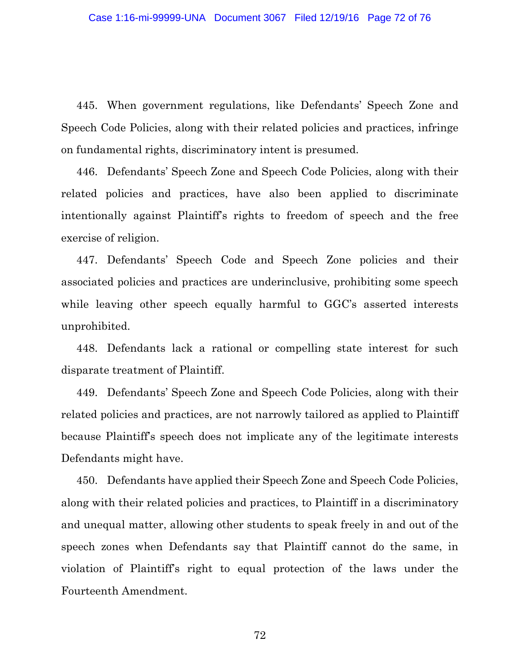445. When government regulations, like Defendants' Speech Zone and Speech Code Policies, along with their related policies and practices, infringe on fundamental rights, discriminatory intent is presumed.

446. Defendants' Speech Zone and Speech Code Policies, along with their related policies and practices, have also been applied to discriminate intentionally against Plaintiff's rights to freedom of speech and the free exercise of religion.

447. Defendants' Speech Code and Speech Zone policies and their associated policies and practices are underinclusive, prohibiting some speech while leaving other speech equally harmful to GGC's asserted interests unprohibited.

448. Defendants lack a rational or compelling state interest for such disparate treatment of Plaintiff.

449. Defendants' Speech Zone and Speech Code Policies, along with their related policies and practices, are not narrowly tailored as applied to Plaintiff because Plaintiff's speech does not implicate any of the legitimate interests Defendants might have.

450. Defendants have applied their Speech Zone and Speech Code Policies, along with their related policies and practices, to Plaintiff in a discriminatory and unequal matter, allowing other students to speak freely in and out of the speech zones when Defendants say that Plaintiff cannot do the same, in violation of Plaintiff's right to equal protection of the laws under the Fourteenth Amendment.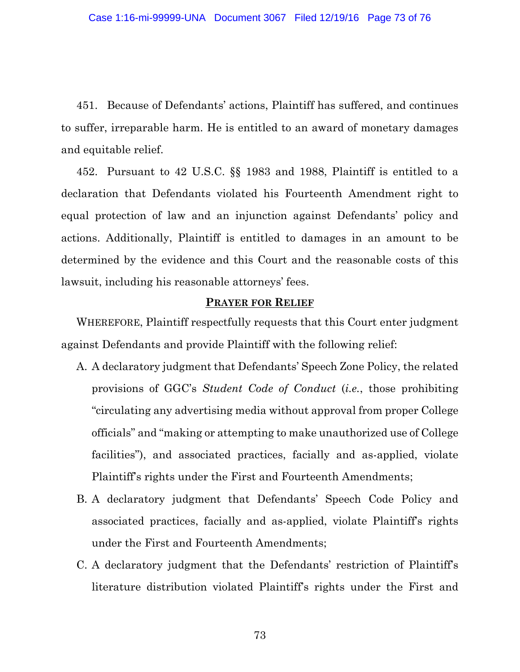451. Because of Defendants' actions, Plaintiff has suffered, and continues to suffer, irreparable harm. He is entitled to an award of monetary damages and equitable relief.

452. Pursuant to 42 U.S.C. §§ 1983 and 1988, Plaintiff is entitled to a declaration that Defendants violated his Fourteenth Amendment right to equal protection of law and an injunction against Defendants' policy and actions. Additionally, Plaintiff is entitled to damages in an amount to be determined by the evidence and this Court and the reasonable costs of this lawsuit, including his reasonable attorneys' fees.

## **PRAYER FOR RELIEF**

WHEREFORE, Plaintiff respectfully requests that this Court enter judgment against Defendants and provide Plaintiff with the following relief:

- A. A declaratory judgment that Defendants' Speech Zone Policy, the related provisions of GGC's *Student Code of Conduct* (*i.e.*, those prohibiting "circulating any advertising media without approval from proper College officials" and "making or attempting to make unauthorized use of College facilities"), and associated practices, facially and as-applied, violate Plaintiff's rights under the First and Fourteenth Amendments;
- B. A declaratory judgment that Defendants' Speech Code Policy and associated practices, facially and as-applied, violate Plaintiff's rights under the First and Fourteenth Amendments;
- C. A declaratory judgment that the Defendants' restriction of Plaintiff's literature distribution violated Plaintiff's rights under the First and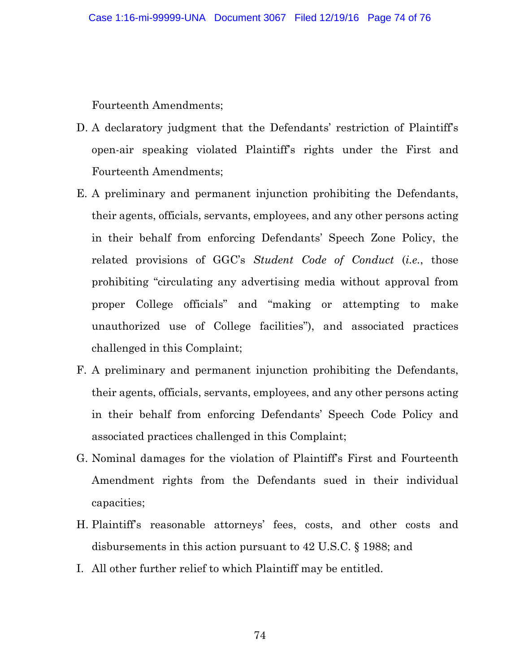Fourteenth Amendments;

- D. A declaratory judgment that the Defendants' restriction of Plaintiff's open-air speaking violated Plaintiff's rights under the First and Fourteenth Amendments;
- E. A preliminary and permanent injunction prohibiting the Defendants, their agents, officials, servants, employees, and any other persons acting in their behalf from enforcing Defendants' Speech Zone Policy, the related provisions of GGC's *Student Code of Conduct* (*i.e.*, those prohibiting "circulating any advertising media without approval from proper College officials" and "making or attempting to make unauthorized use of College facilities"), and associated practices challenged in this Complaint;
- F. A preliminary and permanent injunction prohibiting the Defendants, their agents, officials, servants, employees, and any other persons acting in their behalf from enforcing Defendants' Speech Code Policy and associated practices challenged in this Complaint;
- G. Nominal damages for the violation of Plaintiff's First and Fourteenth Amendment rights from the Defendants sued in their individual capacities;
- H. Plaintiff's reasonable attorneys' fees, costs, and other costs and disbursements in this action pursuant to 42 U.S.C. § 1988; and
- I. All other further relief to which Plaintiff may be entitled.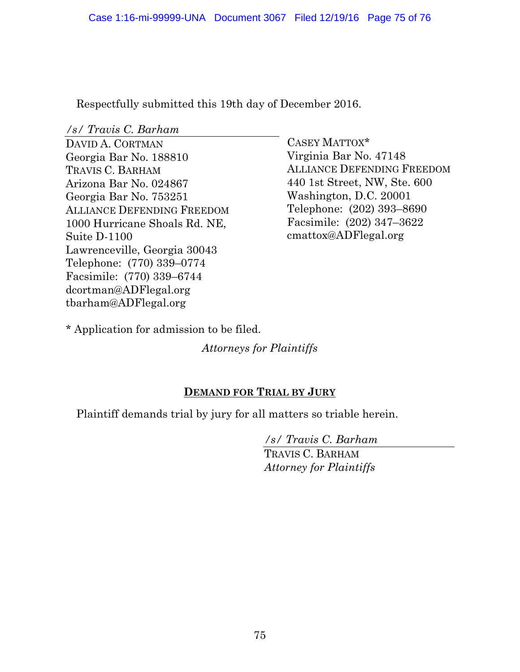Respectfully submitted this 19th day of December 2016.

*/s/ Travis C. Barham*

DAVID A. CORTMAN Georgia Bar No. 188810 TRAVIS C. BARHAM Arizona Bar No. 024867 Georgia Bar No. 753251 ALLIANCE DEFENDING FREEDOM 1000 Hurricane Shoals Rd. NE, Suite D-1100 Lawrenceville, Georgia 30043 Telephone: (770) 339–0774 Facsimile: (770) 339–6744 dcortman@ADFlegal.org tbarham@ADFlegal.org

CASEY MATTOX\* Virginia Bar No. 47148 ALLIANCE DEFENDING FREEDOM 440 1st Street, NW, Ste. 600 Washington, D.C. 20001 Telephone: (202) 393–8690 Facsimile: (202) 347–3622 cmattox@ADFlegal.org

\* Application for admission to be filed.

*Attorneys for Plaintiffs* 

## **DEMAND FOR TRIAL BY JURY**

Plaintiff demands trial by jury for all matters so triable herein.

*/s/ Travis C. Barham*

TRAVIS C. BARHAM *Attorney for Plaintiffs*